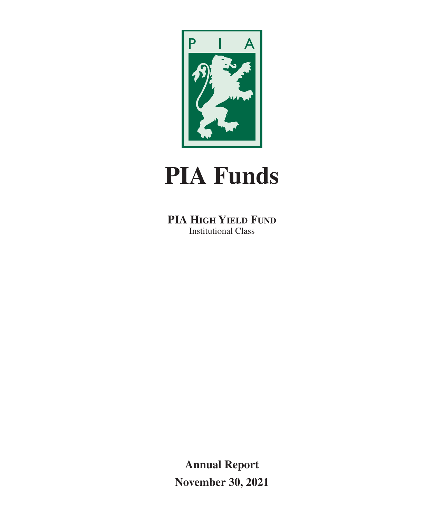

# **PIA Funds**

**PIA HIGH YIELD FUND** Institutional Class

**Annual Report November 30, 2021**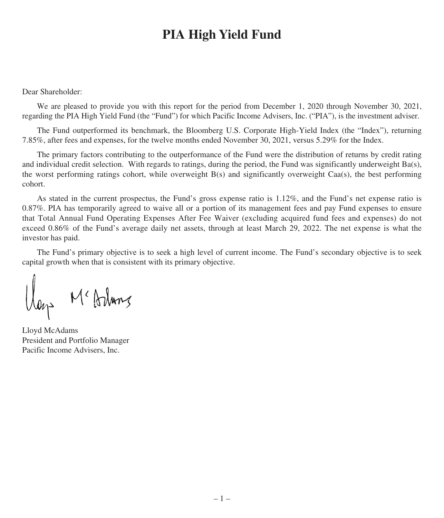Dear Shareholder:

We are pleased to provide you with this report for the period from December 1, 2020 through November 30, 2021, regarding the PIA High Yield Fund (the "Fund") for which Pacific Income Advisers, Inc. ("PIA"), is the investment adviser.

The Fund outperformed its benchmark, the Bloomberg U.S. Corporate High-Yield Index (the "Index"), returning 7.85%, after fees and expenses, for the twelve months ended November 30, 2021, versus 5.29% for the Index.

The primary factors contributing to the outperformance of the Fund were the distribution of returns by credit rating and individual credit selection. With regards to ratings, during the period, the Fund was significantly underweight Ba(s), the worst performing ratings cohort, while overweight B(s) and significantly overweight Caa(s), the best performing cohort.

As stated in the current prospectus, the Fund's gross expense ratio is 1.12%, and the Fund's net expense ratio is 0.87%. PIA has temporarily agreed to waive all or a portion of its management fees and pay Fund expenses to ensure that Total Annual Fund Operating Expenses After Fee Waiver (excluding acquired fund fees and expenses) do not exceed 0.86% of the Fund's average daily net assets, through at least March 29, 2022. The net expense is what the investor has paid.

The Fund's primary objective is to seek a high level of current income. The Fund's secondary objective is to seek capital growth when that is consistent with its primary objective.

llan Mc Arlang

Lloyd McAdams President and Portfolio Manager Pacific Income Advisers, Inc.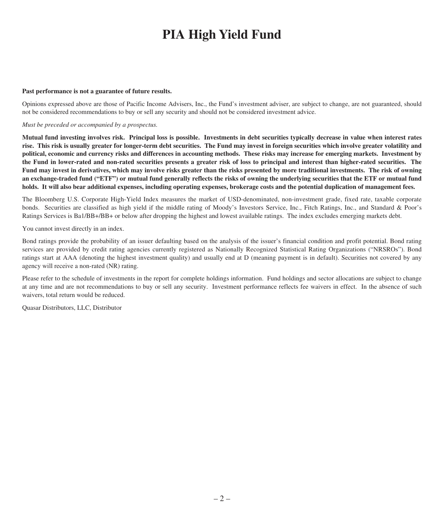#### **Past performance is not a guarantee of future results.**

Opinions expressed above are those of Pacific Income Advisers, Inc., the Fund's investment adviser, are subject to change, are not guaranteed, should not be considered recommendations to buy or sell any security and should not be considered investment advice.

#### *Must be preceded or accompanied by a prospectus.*

Mutual fund investing involves risk. Principal loss is possible. Investments in debt securities typically decrease in value when interest rates rise. This risk is usually greater for longer-term debt securities. The Fund may invest in foreign securities which involve greater volatility and political, economic and currency risks and differences in accounting methods. These risks may increase for emerging markets. Investment by the Fund in lower-rated and non-rated securities presents a greater risk of loss to principal and interest than higher-rated securities. The Fund may invest in derivatives, which may involve risks greater than the risks presented by more traditional investments. The risk of owning an exchange-traded fund ("ETF") or mutual fund generally reflects the risks of owning the underlying securities that the ETF or mutual fund holds. It will also bear additional expenses, including operating expenses, brokerage costs and the potential duplication of management fees.

The Bloomberg U.S. Corporate High-Yield Index measures the market of USD-denominated, non-investment grade, fixed rate, taxable corporate bonds. Securities are classified as high yield if the middle rating of Moody's Investors Service, Inc., Fitch Ratings, Inc., and Standard & Poor's Ratings Services is Ba1/BB+/BB+ or below after dropping the highest and lowest available ratings. The index excludes emerging markets debt.

You cannot invest directly in an index.

Bond ratings provide the probability of an issuer defaulting based on the analysis of the issuer's financial condition and profit potential. Bond rating services are provided by credit rating agencies currently registered as Nationally Recognized Statistical Rating Organizations ("NRSROs"). Bond ratings start at AAA (denoting the highest investment quality) and usually end at D (meaning payment is in default). Securities not covered by any agency will receive a non-rated (NR) rating.

Please refer to the schedule of investments in the report for complete holdings information. Fund holdings and sector allocations are subject to change at any time and are not recommendations to buy or sell any security. Investment performance reflects fee waivers in effect. In the absence of such waivers, total return would be reduced.

Quasar Distributors, LLC, Distributor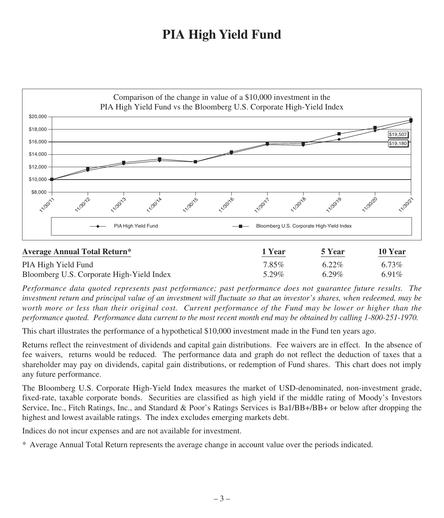

| <b>Average Annual Total Return*</b>       | 1 Year | 5 Year   | 10 Year |
|-------------------------------------------|--------|----------|---------|
| PIA High Yield Fund                       | 7.85%  | $6.22\%$ | 6.73%   |
| Bloomberg U.S. Corporate High-Yield Index | 5.29%  | $6.29\%$ | 6.91\%  |

*Performance data quoted represents past performance; past performance does not guarantee future results. The* investment return and principal value of an investment will fluctuate so that an investor's shares, when redeemed, may be worth more or less than their original cost. Current performance of the Fund may be lower or higher than the performance quoted. Performance data current to the most recent month end may be obtained by calling 1-800-251-1970.

This chart illustrates the performance of a hypothetical \$10,000 investment made in the Fund ten years ago.

Returns reflect the reinvestment of dividends and capital gain distributions. Fee waivers are in effect. In the absence of fee waivers, returns would be reduced. The performance data and graph do not reflect the deduction of taxes that a shareholder may pay on dividends, capital gain distributions, or redemption of Fund shares. This chart does not imply any future performance.

The Bloomberg U.S. Corporate High-Yield Index measures the market of USD-denominated, non-investment grade, fixed-rate, taxable corporate bonds. Securities are classified as high yield if the middle rating of Moody's Investors Service, Inc., Fitch Ratings, Inc., and Standard & Poor's Ratings Services is Ba1/BB+/BB+ or below after dropping the highest and lowest available ratings. The index excludes emerging markets debt.

Indices do not incur expenses and are not available for investment.

\* Average Annual Total Return represents the average change in account value over the periods indicated.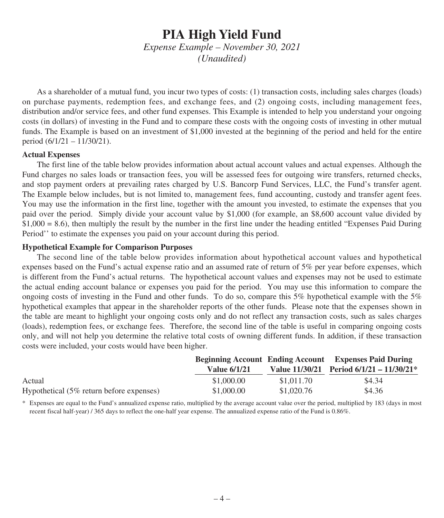*Expense Example – November 30, 2021 (Unaudited)*

As a shareholder of a mutual fund, you incur two types of costs: (1) transaction costs, including sales charges (loads) on purchase payments, redemption fees, and exchange fees, and (2) ongoing costs, including management fees, distribution and/or service fees, and other fund expenses. This Example is intended to help you understand your ongoing costs (in dollars) of investing in the Fund and to compare these costs with the ongoing costs of investing in other mutual funds. The Example is based on an investment of \$1,000 invested at the beginning of the period and held for the entire period (6/1/21 – 11/30/21).

#### **Actual Expenses**

The first line of the table below provides information about actual account values and actual expenses. Although the Fund charges no sales loads or transaction fees, you will be assessed fees for outgoing wire transfers, returned checks, and stop payment orders at prevailing rates charged by U.S. Bancorp Fund Services, LLC, the Fund's transfer agent. The Example below includes, but is not limited to, management fees, fund accounting, custody and transfer agent fees. You may use the information in the first line, together with the amount you invested, to estimate the expenses that you paid over the period. Simply divide your account value by \$1,000 (for example, an \$8,600 account value divided by  $$1,000 = 8.6$ ), then multiply the result by the number in the first line under the heading entitled "Expenses Paid During" Period'' to estimate the expenses you paid on your account during this period.

#### **Hypothetical Example for Comparison Purposes**

The second line of the table below provides information about hypothetical account values and hypothetical expenses based on the Fund's actual expense ratio and an assumed rate of return of 5% per year before expenses, which is different from the Fund's actual returns. The hypothetical account values and expenses may not be used to estimate the actual ending account balance or expenses you paid for the period. You may use this information to compare the ongoing costs of investing in the Fund and other funds. To do so, compare this 5% hypothetical example with the 5% hypothetical examples that appear in the shareholder reports of the other funds. Please note that the expenses shown in the table are meant to highlight your ongoing costs only and do not reflect any transaction costs, such as sales charges (loads), redemption fees, or exchange fees. Therefore, the second line of the table is useful in comparing ongoing costs only, and will not help you determine the relative total costs of owning different funds. In addition, if these transaction costs were included, your costs would have been higher.

|                                          |                     |            | <b>Beginning Account Ending Account Expenses Paid During</b> |
|------------------------------------------|---------------------|------------|--------------------------------------------------------------|
|                                          | <b>Value 6/1/21</b> |            | Value $11/30/21$ Period $6/1/21 - 11/30/21$ <sup>*</sup>     |
| Actual                                   | \$1,000.00          | \$1,011.70 | \$4.34                                                       |
| Hypothetical (5% return before expenses) | \$1,000.00          | \$1,020.76 | \$4.36                                                       |

\* Expenses are equal to the Fund's annualized expense ratio, multiplied by the average account value over the period, multiplied by 183 (days in most recent fiscal half-year) / 365 days to reflect the one-half year expense. The annualized expense ratio of the Fund is 0.86%.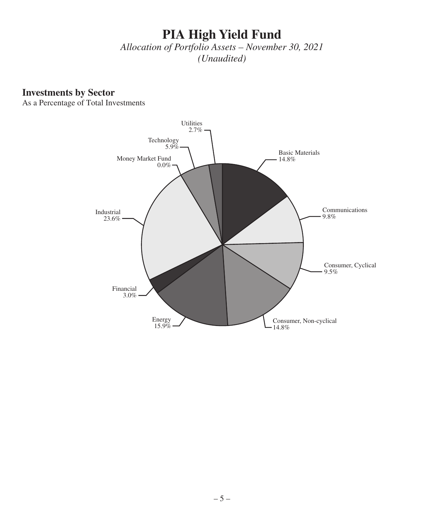*Allocation of Portfolio Assets – November 30, 2021 (Unaudited)*

### **Investments by Sector**

As a Percentage of Total Investments

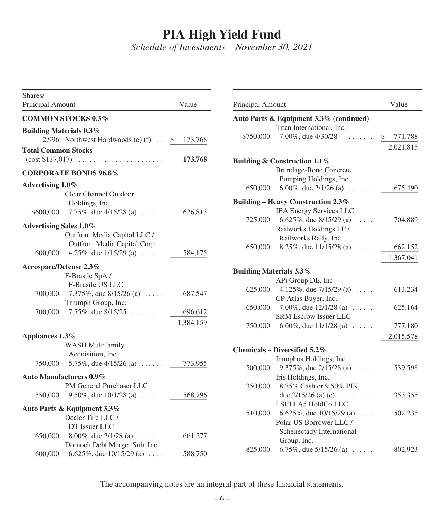*Schedule of Investments – November 30, 2021*

| Shares/<br>Principal Amount                  |                                                                                                                 | Value                           | Principal Amount                                                                                              |                                                                                                                              | Value                |
|----------------------------------------------|-----------------------------------------------------------------------------------------------------------------|---------------------------------|---------------------------------------------------------------------------------------------------------------|------------------------------------------------------------------------------------------------------------------------------|----------------------|
|                                              | <b>COMMON STOCKS 0.3%</b>                                                                                       |                                 | Auto Parts & Equipment 3.3% (continued)                                                                       |                                                                                                                              |                      |
| <b>Building Materials 0.3%</b>               | 2,996 Northwest Hardwoods (e) (f) $\ldots$ \$                                                                   | 173,768                         | \$750,000                                                                                                     | Titan International, Inc.<br>7.00%, due $4/30/28$                                                                            | 771,                 |
| <b>Total Common Stocks</b>                   | $(\text{cost } $137,017) \dots \dots \dots \dots \dots \dots \dots$                                             | 173,768                         | Building & Construction 1.1%                                                                                  |                                                                                                                              | 2,021,               |
|                                              | <b>CORPORATE BONDS 96.8%</b>                                                                                    |                                 |                                                                                                               | <b>Brundage-Bone Concrete</b>                                                                                                |                      |
| Advertising 1.0%                             | Clear Channel Outdoor                                                                                           |                                 | 650,000                                                                                                       | Pumping Holdings, Inc.<br>6.00%, due $2/1/26$ (a) $\ldots$                                                                   | 675,4                |
| \$600,000                                    | Holdings, Inc.<br>7.75%, due $4/15/28$ (a)                                                                      | 626,813                         | <b>Building - Heavy Construction 2.3%</b><br>725,000                                                          | <b>IEA Energy Services LLC</b><br>6.625%, due $8/15/29$ (a)                                                                  | 704,                 |
| <b>Advertising Sales 1.0%</b>                | Outfront Media Capital LLC /<br>Outfront Media Capital Corp.                                                    |                                 | 650,000                                                                                                       | Railworks Holdings LP /<br>Railworks Rally, Inc.<br>8.25%, due $11/15/28$ (a)                                                | 662,                 |
| 600,000                                      | 4.25%, due $1/15/29$ (a)                                                                                        | 584,175                         |                                                                                                               |                                                                                                                              | 1,367,               |
| Aerospace/Defense 2.3%<br>700,000<br>700,000 | F-Brasile SpA/<br>F-Brasile US LLC<br>7.375\%, due $8/15/26$ (a)<br>Triumph Group, Inc.<br>7.75%, due $8/15/25$ | 687,547<br>696,612<br>1,384,159 | <b>Building Materials 3.3%</b><br>APi Group DE, Inc.<br>625,000<br>CP Atlas Buyer, Inc.<br>650,000<br>750,000 | 4.125%, due $7/15/29$ (a)<br>7.00%, due $12/1/28$ (a)<br><b>SRM Escrow Issuer LLC</b><br>6.00%, due $11/1/28$ (a) $\ldots$ . | 613,<br>625,<br>777, |
| Appliances 1.3%                              |                                                                                                                 |                                 |                                                                                                               |                                                                                                                              | 2,015,               |
| 750,000                                      | <b>WASH Multifamily</b><br>Acquisition, Inc.<br>5.75%, due $4/15/26$ (a)                                        | 773,955                         | Chemicals - Diversified 5.2%<br>500,000                                                                       | Innophos Holdings, Inc.<br>9.375\%, due $2/15/28$ (a)                                                                        | 539,                 |
| 550,000                                      | <b>Auto Manufacturers 0.9%</b><br>PM General Purchaser LLC<br>9.50%, due $10/1/28$ (a)                          | 568,796                         | Iris Holdings, Inc.<br>350,000                                                                                | 8.75% Cash or 9.50% PIK,<br>due $2/15/26$ (a) (c)                                                                            | 353,                 |
|                                              | Auto Parts & Equipment 3.3%<br>Dealer Tire LLC /<br>DT Issuer LLC                                               |                                 | 510,000                                                                                                       | LSF11 A5 HoldCo LLC<br>6.625%, due $10/15/29$ (a)<br>Polar US Borrower LLC /                                                 | 502,                 |
| 650,000<br>600,000                           | 8.00%, due $2/1/28$ (a) $\ldots \ldots$<br>Dornoch Debt Merger Sub, Inc.<br>6.625\%, due 10/15/29 (a) $\dots$   | 661,277<br>588,750              | Group, Inc.<br>825,000                                                                                        | Schenectady International<br>6.75%, due $5/15/26$ (a)                                                                        | 802,                 |

| Principal Amount               |                                                                      | Value                      |
|--------------------------------|----------------------------------------------------------------------|----------------------------|
|                                | Auto Parts & Equipment 3.3% (continued)<br>Titan International, Inc. |                            |
| \$750,000                      | 7.00%, due $4/30/28$                                                 | \$<br>771,788<br>2,021,815 |
|                                | <b>Building &amp; Construction 1.1%</b>                              |                            |
|                                | <b>Brundage-Bone Concrete</b>                                        |                            |
|                                | Pumping Holdings, Inc.                                               |                            |
| 650,000                        | 6.00%, due $2/1/26$ (a) $\ldots \ldots$                              | 675,490                    |
|                                | <b>Building – Heavy Construction 2.3%</b>                            |                            |
|                                | <b>IEA Energy Services LLC</b>                                       |                            |
| 725,000                        | 6.625%, due $8/15/29$ (a)                                            | 704,889                    |
|                                | Railworks Holdings LP/                                               |                            |
|                                | Railworks Rally, Inc.                                                |                            |
| 650,000                        | 8.25%, due $11/15/28$ (a)                                            | 662,152                    |
|                                |                                                                      | 1,367,041                  |
| <b>Building Materials 3.3%</b> |                                                                      |                            |
|                                | APi Group DE, Inc.                                                   |                            |
| 625,000                        | 4.125%, due $7/15/29$ (a)                                            | 613,234                    |
|                                | CP Atlas Buyer, Inc.                                                 |                            |
| 650,000                        | 7.00%, due $12/1/28$ (a) $\ldots$                                    | 625,164                    |
|                                | <b>SRM Escrow Issuer LLC</b>                                         |                            |
| 750,000                        | 6.00%, due $11/1/28$ (a)                                             | 777,180                    |
|                                |                                                                      | 2,015,578                  |
|                                | Chemicals – Diversified 5.2%                                         |                            |
|                                | Innophos Holdings, Inc.                                              |                            |
| 500,000                        | 9.375%, due $2/15/28$ (a)                                            | 539,598                    |
|                                | Iris Holdings, Inc.                                                  |                            |
| 350,000                        | 8.75% Cash or 9.50% PIK,                                             |                            |
|                                | due $2/15/26$ (a) (c)                                                | 353,355                    |
|                                | LSF11 A5 HoldCo LLC                                                  |                            |
| 510,000                        | 6.625%, due $10/15/29$ (a)                                           | 502,235                    |
|                                | Polar US Borrower LLC /                                              |                            |
|                                | Schenectady International                                            |                            |
|                                | Group, Inc.                                                          |                            |
| 825,000                        | 6.75%, due $5/15/26$ (a)                                             | 802,923                    |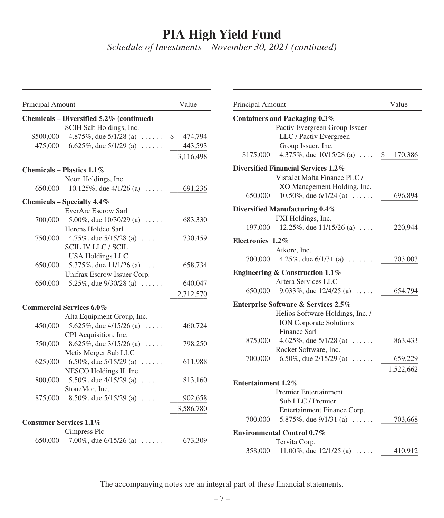*Schedule of Investments – November 30, 2021 (continued)*

| Principal Amount              |                                                                                                                              | Value                                | Principal Amount   |                                                                                                                                                      | Value                |
|-------------------------------|------------------------------------------------------------------------------------------------------------------------------|--------------------------------------|--------------------|------------------------------------------------------------------------------------------------------------------------------------------------------|----------------------|
| \$500,000<br>475,000          | Chemicals - Diversified 5.2% (continued)<br>SCIH Salt Holdings, Inc.<br>4.875%, due $5/1/28$ (a)<br>6.625%, due $5/1/29$ (a) | 474,794<br>S<br>443,593<br>3,116,498 | \$175,000          | <b>Containers and Packaging 0.3%</b><br>Pactiv Evergreen Group Issuer<br>LLC / Pactiv Evergreen<br>Group Issuer, Inc.<br>4.375\%, due $10/15/28$ (a) | <sup>S</sup><br>170. |
|                               | Chemicals – Plastics $1.1\%$                                                                                                 |                                      |                    | Diversified Financial Services 1.2%                                                                                                                  |                      |
|                               | Neon Holdings, Inc.                                                                                                          |                                      |                    | VistaJet Malta Finance PLC /                                                                                                                         |                      |
| 650,000                       | 10.125\%, due 4/1/26 (a) $\dots$ .                                                                                           | 691,236                              |                    | XO Management Holding, Inc.                                                                                                                          |                      |
|                               | Chemicals - Specialty 4.4%                                                                                                   |                                      | 650,000            | 10.50%, due $6/1/24$ (a) $\dots$ .                                                                                                                   | 696,                 |
|                               | EverArc Escrow Sarl                                                                                                          |                                      |                    | Diversified Manufacturing 0.4%                                                                                                                       |                      |
| 700,000                       | 5.00%, due $10/30/29$ (a)                                                                                                    | 683,330                              |                    | FXI Holdings, Inc.                                                                                                                                   |                      |
|                               | Herens Holdco Sarl                                                                                                           |                                      | 197,000            | 12.25\%, due $11/15/26$ (a)                                                                                                                          | 220,                 |
| 750,000                       | 4.75%, due $5/15/28$ (a)                                                                                                     | 730,459                              | Electronics 1.2%   |                                                                                                                                                      |                      |
|                               | <b>SCIL IV LLC / SCIL</b>                                                                                                    |                                      |                    | Atkore, Inc.                                                                                                                                         |                      |
|                               | <b>USA Holdings LLC</b>                                                                                                      |                                      | 700,000            | 4.25%, due $6/1/31$ (a)                                                                                                                              | 703,                 |
| 650,000                       | 5.375%, due $11/1/26$ (a)<br>Unifrax Escrow Issuer Corp.                                                                     | 658,734                              |                    | Engineering & Construction 1.1%                                                                                                                      |                      |
| 650,000                       | 5.25%, due $9/30/28$ (a)                                                                                                     | 640,047                              |                    | Artera Services LLC                                                                                                                                  |                      |
|                               |                                                                                                                              | 2,712,570                            | 650,000            | 9.033%, due $12/4/25$ (a)                                                                                                                            | 654,                 |
|                               |                                                                                                                              |                                      |                    | <b>Enterprise Software &amp; Services 2.5%</b>                                                                                                       |                      |
|                               | <b>Commercial Services 6.0%</b>                                                                                              |                                      |                    | Helios Software Holdings, Inc. /                                                                                                                     |                      |
| 450,000                       | Alta Equipment Group, Inc.<br>5.625%, due $4/15/26$ (a)                                                                      | 460,724                              |                    | <b>ION</b> Corporate Solutions                                                                                                                       |                      |
|                               | CPI Acquisition, Inc.                                                                                                        |                                      |                    | Finance Sarl                                                                                                                                         |                      |
| 750,000                       | 8.625\%, due $3/15/26$ (a)                                                                                                   | 798,250                              | 875,000            | 4.625%, due $5/1/28$ (a)                                                                                                                             | 863.                 |
|                               | Metis Merger Sub LLC                                                                                                         |                                      |                    | Rocket Software, Inc.                                                                                                                                |                      |
| 625,000                       | 6.50\%, due $5/15/29$ (a)                                                                                                    | 611,988                              | 700,000            | 6.50%, due $2/15/29$ (a) $\ldots$ .                                                                                                                  | 659,                 |
|                               | NESCO Holdings II, Inc.                                                                                                      |                                      |                    |                                                                                                                                                      | 1,522,               |
| 800,000                       | 5.50%, due $4/15/29$ (a)                                                                                                     | 813,160                              | Entertainment 1.2% |                                                                                                                                                      |                      |
|                               | StoneMor, Inc.                                                                                                               |                                      |                    | <b>Premier Entertainment</b>                                                                                                                         |                      |
| 875,000                       | 8.50%, due $5/15/29$ (a)                                                                                                     | 902,658                              |                    | Sub LLC / Premier                                                                                                                                    |                      |
|                               |                                                                                                                              | 3,586,780                            |                    | Entertainment Finance Corp.                                                                                                                          |                      |
| <b>Consumer Services 1.1%</b> |                                                                                                                              |                                      | 700,000            | 5.875\%, due $9/1/31$ (a)                                                                                                                            | 703,                 |
|                               | Cimpress Plc                                                                                                                 |                                      |                    | <b>Environmental Control 0.7%</b>                                                                                                                    |                      |
| 650,000                       | 7.00%, due $6/15/26$ (a)                                                                                                     | 673.309                              |                    | Tervita Corp.                                                                                                                                        |                      |
|                               |                                                                                                                              |                                      |                    |                                                                                                                                                      |                      |

| Principal Amount   |                                                                                           | Value     |
|--------------------|-------------------------------------------------------------------------------------------|-----------|
|                    | Containers and Packaging 0.3%<br>Pactiv Evergreen Group Issuer<br>LLC / Pactiv Evergreen  |           |
| \$175,000          | Group Issuer, Inc.<br>4.375\%, due 10/15/28 (a) $\dots$ \$                                | 170,386   |
|                    | Diversified Financial Services 1.2%                                                       |           |
| 650,000            | VistaJet Malta Finance PLC /<br>XO Management Holding, Inc.<br>10.50%, due $6/1/24$ (a)   | 696,894   |
|                    |                                                                                           |           |
|                    | Diversified Manufacturing 0.4%<br>FXI Holdings, Inc.                                      |           |
| 197,000            | 12.25%, due $11/15/26$ (a)                                                                | 220,944   |
| Electronics 1.2%   |                                                                                           |           |
| 700,000            | Atkore, Inc.<br>4.25%, due $6/1/31$ (a)                                                   | 703,003   |
|                    | Engineering & Construction $1.1\%$                                                        |           |
| 650,000            | Artera Services LLC<br>9.033%, due $12/4/25$ (a)                                          | 654,794   |
|                    | <b>Enterprise Software &amp; Services 2.5%</b>                                            |           |
|                    | Helios Software Holdings, Inc. /<br><b>ION Corporate Solutions</b><br><b>Finance Sarl</b> |           |
| 875,000            | 4.625\%, due $5/1/28$ (a)<br>Rocket Software, Inc.                                        | 863,433   |
| 700,000            | 6.50%, due $2/15/29$ (a)                                                                  | 659,229   |
|                    |                                                                                           | 1,522,662 |
| Entertainment 1.2% |                                                                                           |           |
|                    | <b>Premier Entertainment</b><br>Sub LLC / Premier<br>Entertainment Finance Corp.          |           |
|                    | 700,000 5.875%, due 9/1/31 (a) $\dots$                                                    | 703,668   |
|                    | <b>Environmental Control 0.7%</b>                                                         |           |
|                    | Tervita Corp.                                                                             |           |
| 358,000            | 11.00%, due $12/1/25$ (a)                                                                 | 410,912   |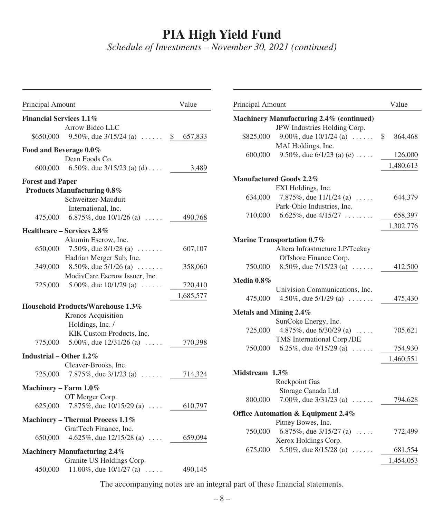*Schedule of Investments – November 30, 2021 (continued)*

| Principal Amount                                  | Value     | Principal Amount                         | Value      |
|---------------------------------------------------|-----------|------------------------------------------|------------|
| <b>Financial Services 1.1%</b>                    |           | Machinery Manufacturing 2.4% (continued) |            |
| Arrow Bidco LLC                                   |           | JPW Industries Holding Corp.             |            |
| 9.50%, due $3/15/24$ (a)  \$ 657,833<br>\$650,000 |           | 9.00%, due $10/1/24$ (a)<br>\$825,000    | \$<br>864, |
| Food and Beverage 0.0%                            |           | MAI Holdings, Inc.                       |            |
| Dean Foods Co.                                    |           | 9.50%, due $6/1/23$ (a) (e)<br>600,000   | 126,       |
| 6.50%, due $3/15/23$ (a) (d)<br>600,000           | 3,489     |                                          | 1,480,     |
|                                                   |           | <b>Manufactured Goods 2.2%</b>           |            |
| <b>Forest and Paper</b>                           |           | FXI Holdings, Inc.                       |            |
| Products Manufacturing 0.8%                       |           | 7.875%, due $11/1/24$ (a)<br>634,000     | 644,       |
| Schweitzer-Mauduit                                |           | Park-Ohio Industries, Inc.               |            |
| International, Inc.                               |           | 710,000<br>6.625\%, due $4/15/27$        | 658,       |
| 6.875\%, due $10/1/26$ (a)<br>475,000             | 490,768   |                                          | 1,302,     |
| Healthcare – Services 2.8%                        |           |                                          |            |
| Akumin Escrow, Inc.                               |           | <b>Marine Transportation 0.7%</b>        |            |
| 7.50%, due $8/1/28$ (a)<br>650,000                | 607,107   | Altera Infrastructure LP/Teekay          |            |
| Hadrian Merger Sub, Inc.                          |           | Offshore Finance Corp.                   |            |
| 8.50%, due $5/1/26$ (a)<br>349,000                | 358,060   | 8.50%, due $7/15/23$ (a)<br>750,000      | 412,       |
| ModivCare Escrow Issuer, Inc.                     |           | Media $0.8\%$                            |            |
| 5.00%, due $10/1/29$ (a)<br>725,000               | 720,410   | Univision Communications, Inc.           |            |
|                                                   | 1,685,577 | 4.50%, due $5/1/29$ (a)<br>475,000       | 475.       |
| Household Products/Warehouse 1.3%                 |           |                                          |            |
| Kronos Acquisition                                |           | Metals and Mining 2.4%                   |            |
| Holdings, Inc. /                                  |           | SunCoke Energy, Inc.                     |            |
| KIK Custom Products, Inc.                         |           | 4.875%, due $6/30/29$ (a)<br>725,000     | 705,       |
| 5.00%, due $12/31/26$ (a)<br>775,000              | 770.398   | TMS International Corp./DE               |            |
| Industrial – Other $1.2\%$                        |           | 6.25%, due $4/15/29$ (a)<br>750,000      | 754,       |
| Cleaver-Brooks, Inc.                              |           |                                          | 1,460,     |
| 7.875\%, due $3/1/23$ (a)<br>725,000              | 714,324   | Midstream 1.3%                           |            |
|                                                   |           | Rockpoint Gas                            |            |
| Machinery - Farm 1.0%                             |           | Storage Canada Ltd.                      |            |
| OT Merger Corp.                                   |           | 7.00%, due $3/31/23$ (a)<br>800,000      | 794,       |
| 7.875\%, due $10/15/29$ (a)<br>625,000            | 610,797   |                                          |            |
| Machinery - Thermal Process 1.1%                  |           | Office Automation & Equipment 2.4%       |            |
| GrafTech Finance, Inc.                            |           | Pitney Bowes, Inc.                       |            |
| 4.625\%, due $12/15/28$ (a)<br>650,000            | 659,094   | 6.875%, due $3/15/27$ (a)<br>750,000     | 772,       |
|                                                   |           | Xerox Holdings Corp.                     |            |
| <b>Machinery Manufacturing 2.4%</b>               |           | 675,000<br>5.50%, due $8/15/28$ (a)      | 681,       |
| Granite US Holdings Corp.                         |           |                                          | 1,454,     |
| 450,000<br>11.00%, due $10/1/27$ (a)              | 490.145   |                                          |            |

| Principal Amount       |                                          | Value         |
|------------------------|------------------------------------------|---------------|
|                        | Machinery Manufacturing 2.4% (continued) |               |
|                        | JPW Industries Holding Corp.             |               |
| \$825,000              | 9.00%, due $10/1/24$ (a) $\dots$ .       | \$<br>864,468 |
|                        | MAI Holdings, Inc.                       |               |
| 600,000                | 9.50%, due $6/1/23$ (a) (e)              | 126,000       |
|                        |                                          | 1,480,613     |
|                        | <b>Manufactured Goods 2.2%</b>           |               |
|                        | FXI Holdings, Inc.                       |               |
| 634,000                | 7.875%, due $11/1/24$ (a)                | 644,379       |
|                        | Park-Ohio Industries, Inc.               |               |
| 710,000                | 6.625%, due $4/15/27$                    | 658,397       |
|                        |                                          | 1,302,776     |
|                        |                                          |               |
|                        | <b>Marine Transportation 0.7%</b>        |               |
|                        | Altera Infrastructure LP/Teekay          |               |
|                        | Offshore Finance Corp.                   |               |
| 750,000                | 8.50%, due $7/15/23$ (a)<br>.            | 412,500       |
| Media $0.8\%$          |                                          |               |
|                        | Univision Communications, Inc.           |               |
| 475,000                | 4.50%, due $5/1/29$ (a) $\ldots \ldots$  | 475,430       |
| Metals and Mining 2.4% |                                          |               |
|                        | SunCoke Energy, Inc.                     |               |
| 725,000                | 4.875%, due $6/30/29$ (a)                | 705,621       |
|                        | TMS International Corp./DE               |               |
| 750,000                | 6.25\%, due 4/15/29 (a) $\dots$ .        | 754,930       |
|                        |                                          | 1,460,551     |
| Midstream $1.3\%$      |                                          |               |
|                        | Rockpoint Gas                            |               |
|                        |                                          |               |
|                        | Storage Canada Ltd.                      |               |
| 800,000                | 7.00%, due $3/31/23$ (a)                 | 794,628       |
|                        | Office Automation & Equipment 2.4%       |               |
|                        | Pitney Bowes, Inc.                       |               |
| 750,000                | 6.875%, due $3/15/27$ (a)                | 772,499       |
|                        | Xerox Holdings Corp.                     |               |
| 675,000                | 5.50\%, due $8/15/28$ (a)                | 681,554       |
|                        |                                          | 1,454,053     |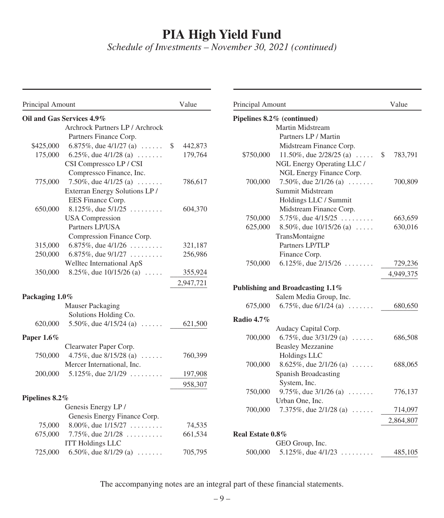*Schedule of Investments – November 30, 2021 (continued)*

| Principal Amount                               | Value                   | Principal Amount                             | Value                |
|------------------------------------------------|-------------------------|----------------------------------------------|----------------------|
| Oil and Gas Services 4.9%                      |                         | Pipelines 8.2% (continued)                   |                      |
| Archrock Partners LP / Archrock                |                         | Martin Midstream                             |                      |
| Partners Finance Corp.                         |                         | Partners LP / Martin                         |                      |
| 6.875\%, due 4/1/27 (a) $\dots$ .<br>\$425,000 | $\mathbb{S}$<br>442,873 | Midstream Finance Corp.                      |                      |
| 175,000<br>6.25%, due $4/1/28$ (a) $\ldots$    | 179,764                 | 11.50%, due $2/28/25$ (a)<br>\$750,000       | 783,<br>$\mathbb{S}$ |
| CSI Compressco LP / CSI                        |                         | NGL Energy Operating LLC /                   |                      |
| Compressco Finance, Inc.                       |                         | NGL Energy Finance Corp.                     |                      |
| 7.50%, due $4/1/25$ (a) $\ldots$<br>775,000    | 786,617                 | 7.50%, due $2/1/26$ (a) $\ldots$<br>700,000  | 700,                 |
| Exterran Energy Solutions LP /                 |                         | Summit Midstream                             |                      |
| EES Finance Corp.                              |                         | Holdings LLC / Summit                        |                      |
| 8.125%, due $5/1/25$<br>650,000                | 604,370                 | Midstream Finance Corp.                      |                      |
| <b>USA</b> Compression                         |                         | 5.75%, due $4/15/25$<br>750,000              | 663.                 |
| Partners LP/USA                                |                         | 625,000<br>8.50%, due $10/15/26$ (a)         | 630,                 |
| Compression Finance Corp.                      |                         | TransMontaigne                               |                      |
| 6.875%, due $4/1/26$<br>315,000                | 321,187                 | Partners LP/TLP                              |                      |
| 6.875%, due $9/1/27$<br>250,000                | 256,986                 | Finance Corp.                                |                      |
| Welltec International ApS                      |                         | 6.125%, due $2/15/26$<br>750,000             | 729,                 |
| 350,000<br>8.25%, due $10/15/26$ (a)           | 355,924                 |                                              | 4,949,               |
|                                                | 2,947,721               |                                              |                      |
|                                                |                         | Publishing and Broadcasting 1.1%             |                      |
| Packaging 1.0%                                 |                         | Salem Media Group, Inc.                      |                      |
| <b>Mauser Packaging</b>                        |                         | 6.75%, due $6/1/24$ (a) $\dots$<br>675,000   | 680,                 |
| Solutions Holding Co.                          |                         | <b>Radio 4.7%</b>                            |                      |
| 620,000<br>5.50\%, due 4/15/24 (a) $\dots$ .   | 621,500                 |                                              |                      |
|                                                |                         | Audacy Capital Corp.                         |                      |
| Paper $1.6\%$                                  |                         | 6.75%, due $3/31/29$ (a)<br>700,000          | 686,                 |
| Clearwater Paper Corp.                         |                         | <b>Beasley Mezzanine</b>                     |                      |
| 4.75%, due $8/15/28$ (a)<br>750,000            | 760,399                 | Holdings LLC                                 |                      |
| Mercer International, Inc.                     |                         | 700,000<br>8.625\%, due $2/1/26$ (a)         | 688,                 |
| 200,000<br>5.125\%, due $2/1/29$               | 197,908                 | Spanish Broadcasting                         |                      |
|                                                | 958,307                 | System, Inc.                                 |                      |
| Pipelines 8.2%                                 |                         | 9.75%, due $3/1/26$ (a)<br>750,000           | 776,                 |
| Genesis Energy LP /                            |                         | Urban One, Inc.                              |                      |
| Genesis Energy Finance Corp.                   |                         | 700,000<br>7.375%, due $2/1/28$ (a) $\ldots$ | 714,                 |
| 75,000<br>8.00%, due $1/15/27$                 | 74,535                  |                                              | 2,864,               |
| 7.75%, due $2/1/28$<br>675,000                 | 661,534                 | Real Estate 0.8%                             |                      |
| <b>ITT Holdings LLC</b>                        |                         | GEO Group, Inc.                              |                      |
|                                                |                         | 5.125%, due $4/1/23$<br>500,000              | 485,                 |
| 725,000<br>6.50%, due $8/1/29$ (a) $\ldots$    | 705,795                 |                                              |                      |

| Principal Amount |                                  | Value         |
|------------------|----------------------------------|---------------|
|                  | Pipelines 8.2% (continued)       |               |
|                  | Martin Midstream                 |               |
|                  | Partners LP / Martin             |               |
|                  | Midstream Finance Corp.          |               |
| \$750,000        | 11.50%, due $2/28/25$ (a)        | \$<br>783,791 |
|                  | NGL Energy Operating LLC /       |               |
|                  | NGL Energy Finance Corp.         |               |
| 700,000          | 7.50%, due $2/1/26$ (a)          | 700,809       |
|                  | Summit Midstream                 |               |
|                  | Holdings LLC / Summit            |               |
|                  | Midstream Finance Corp.          |               |
| 750,000          | 5.75%, due $4/15/25$             | 663,659       |
| 625,000          | 8.50%, due $10/15/26$ (a)        | 630,016       |
|                  | TransMontaigne                   |               |
|                  | Partners LP/TLP                  |               |
|                  | Finance Corp.                    |               |
| 750,000          | 6.125\%, due $2/15/26$           | 729,236       |
|                  |                                  | 4,949,375     |
|                  | Publishing and Broadcasting 1.1% |               |
|                  | Salem Media Group, Inc.          |               |
| 675,000          | 6.75\%, due $6/1/24$ (a)<br>.    | 680,650       |
| Radio $4.7\%$    |                                  |               |
|                  | Audacy Capital Corp.             |               |
| 700,000          | 6.75%, due $3/31/29$ (a)         | 686,508       |
|                  | <b>Beasley Mezzanine</b>         |               |
|                  | Holdings LLC                     |               |
| 700,000          | 8.625%, due $2/1/26$ (a)         | 688,065       |
|                  | Spanish Broadcasting             |               |
|                  | System, Inc.                     |               |
| 750,000          | 9.75%, due $3/1/26$ (a)          | 776,137       |
|                  | Urban One, Inc.                  |               |
| 700,000          | 7.375\%, due $2/1/28$ (a)        | 714,097       |
|                  |                                  | 2,864,807     |
| Real Estate 0.8% |                                  |               |
|                  | GEO Group, Inc.                  |               |
| 500,000          | 5.125\%, due $4/1/23$            | 485,105       |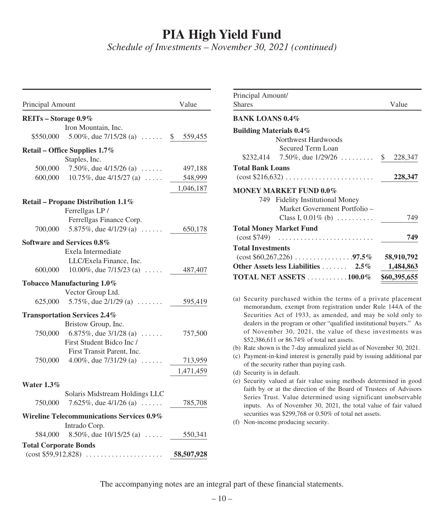*Schedule of Investments – November 30, 2021 (continued)*

| Principal Amount             |                                                                  | Value      |
|------------------------------|------------------------------------------------------------------|------------|
| REITs - Storage 0.9%         |                                                                  |            |
|                              | Iron Mountain, Inc.                                              |            |
| \$550,000                    | 5.00\%, due $7/15/28$ (a)  \$                                    | 559,455    |
|                              | Retail – Office Supplies $1.7\%$                                 |            |
|                              | Staples, Inc.                                                    |            |
| 500,000                      | 7.50%, due $4/15/26$ (a)                                         | 497,188    |
| 600,000                      | 10.75%, due $4/15/27$ (a)                                        | 548,999    |
|                              |                                                                  | 1,046,187  |
|                              | Retail - Propane Distribution 1.1%                               |            |
|                              | Ferrellgas LP/                                                   |            |
|                              | Ferrellgas Finance Corp.                                         |            |
| 700.000                      | 5.875\%, due $4/1/29$ (a)                                        | 650,178    |
|                              | Software and Services 0.8%                                       |            |
|                              | Exela Intermediate                                               |            |
|                              | LLC/Exela Finance, Inc.                                          |            |
| 600,000                      | 10.00%, due $7/15/23$ (a)<br>.                                   | 487,407    |
|                              | Tobacco Manufacturing 1.0%                                       |            |
|                              | Vector Group Ltd.                                                |            |
| 625,000                      | 5.75%, due $2/1/29$ (a) $\ldots \ldots$                          | 595,419    |
|                              | <b>Transportation Services 2.4%</b>                              |            |
|                              | Bristow Group, Inc.                                              |            |
| 750,000                      | 6.875\%, due $3/1/28$ (a)                                        | 757,500    |
|                              | First Student Bidco Inc /                                        |            |
|                              | First Transit Parent, Inc.                                       |            |
| 750,000                      | 4.00%, due $7/31/29$ (a)                                         | 713,959    |
|                              |                                                                  | 1,471,459  |
|                              |                                                                  |            |
| <b>Water 1.3%</b>            |                                                                  |            |
|                              | Solaris Midstream Holdings LLC                                   |            |
| 750.000                      | 7.625\%, due 4/1/26 (a) $\dots$ .                                | 785,708    |
|                              | Wireline Telecommunications Services 0.9%                        |            |
|                              | Intrado Corp.                                                    |            |
| 584,000                      | 8.50%, due $10/15/25$ (a)                                        | 550,341    |
| <b>Total Corporate Bonds</b> |                                                                  |            |
|                              | $(\text{cost } $59,912,828) \dots \dots \dots \dots \dots \dots$ | 58,507,928 |

| Principal Amount/                                                    |               |
|----------------------------------------------------------------------|---------------|
| <b>Shares</b>                                                        | Value         |
| <b>BANK LOANS 0.4%</b>                                               |               |
| <b>Building Materials 0.4%</b>                                       |               |
| Northwest Hardwoods                                                  |               |
| Secured Term Loan                                                    |               |
| \$232,414 7.50\%, due $1/29/26$                                      | S.<br>228,347 |
| <b>Total Bank Loans</b>                                              |               |
| $(\text{cost } \$216,632) \ldots \ldots \ldots \ldots \ldots \ldots$ | 228,347       |
| <b>MONEY MARKET FUND 0.0%</b>                                        |               |
| 749 Fidelity Institutional Money                                     |               |
| Market Government Portfolio –                                        |               |
| Class I, $0.01\%$ (b)                                                | 749           |
| <b>Total Money Market Fund</b>                                       |               |
| $(\text{cost } $749)$                                                | 749           |
| <b>Total Investments</b>                                             |               |
|                                                                      | 58,910,792    |
| Other Assets less Liabilities $\ldots$ 2.5%                          | 1,484,863     |
| <b>TOTAL NET ASSETS</b> $\dots\dots\dots\dots100.0\%$                | \$60,395,655  |
|                                                                      |               |

- (a) Security purchased within the terms of a private placement memorandum, exempt from registration under Rule 144A of the Securities Act of 1933, as amended, and may be sold only to dealers in the program or other "qualified institutional buyers." As of November 30, 2021, the value of these investments was \$52,386,611 or 86.74% of total net assets.
- (b) Rate shown is the 7-day annualized yield as of November 30, 2021.
- (c) Payment-in-kind interest is generally paid by issuing additional par of the security rather than paying cash.
- (d) Security is in default.
- (e) Security valued at fair value using methods determined in good faith by or at the direction of the Board of Trustees of Advisors Series Trust. Value determined using significant unobservable inputs. As of November 30, 2021, the total value of fair valued securities was \$299,768 or 0.50% of total net assets.
- (f) Non-income producing security.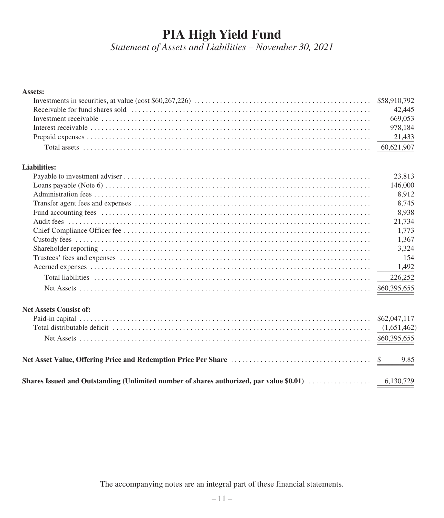*Statement of Assets and Liabilities – November 30, 2021*

#### **Assets:**

| Receivable for fund shares sold $\ldots$ , $\ldots$ , $\ldots$ , $\ldots$ , $\ldots$ , $\ldots$ , $\ldots$ , $\ldots$ , $\ldots$ , $\ldots$ , $\ldots$ , $\ldots$ , $\ldots$ , $\ldots$ , $\ldots$ , $\ldots$ , $\ldots$ , $\ldots$ |         |
|-------------------------------------------------------------------------------------------------------------------------------------------------------------------------------------------------------------------------------------|---------|
|                                                                                                                                                                                                                                     | 669.053 |
|                                                                                                                                                                                                                                     | 978.184 |
|                                                                                                                                                                                                                                     |         |
|                                                                                                                                                                                                                                     |         |

#### **Liabilities:**

| 23,813       |
|--------------|
| 146,000      |
| 8.912        |
| 8.745        |
| 8.938        |
| 21.734       |
| 1.773        |
| 1.367        |
| 3.324        |
| 154          |
| 1.492        |
| 226,252      |
| \$60,395,655 |

#### **Net Assets Consist of:**

| Total distributable deficit (1.651,462) (1,651,462) |  |
|-----------------------------------------------------|--|
|                                                     |  |
|                                                     |  |
|                                                     |  |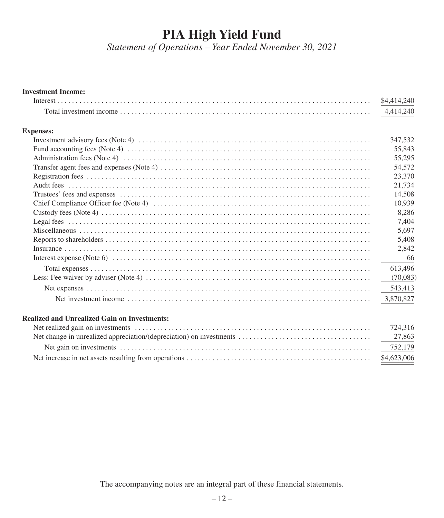*Statement of Operations – Year Ended November 30, 2021*

#### **Investment Income:**

|                  | \$4.414.240 |
|------------------|-------------|
|                  | 4.414.240   |
| <b>Expenses:</b> |             |

| <b>LAP VILOUS</b> |           |
|-------------------|-----------|
|                   | 347,532   |
|                   | 55,843    |
|                   | 55,295    |
|                   | 54,572    |
|                   | 23,370    |
|                   | 21,734    |
|                   | 14,508    |
|                   | 10,939    |
|                   | 8,286     |
|                   | 7.404     |
|                   | 5,697     |
|                   | 5.408     |
|                   | 2.842     |
|                   | -66       |
|                   | 613,496   |
|                   | (70,083)  |
|                   | 543,413   |
|                   | 3.870.827 |
|                   |           |

#### **Realized and Unrealized Gain on Investments:**

| 724.316     |
|-------------|
| 27.863      |
| 752,179     |
| \$4,623,006 |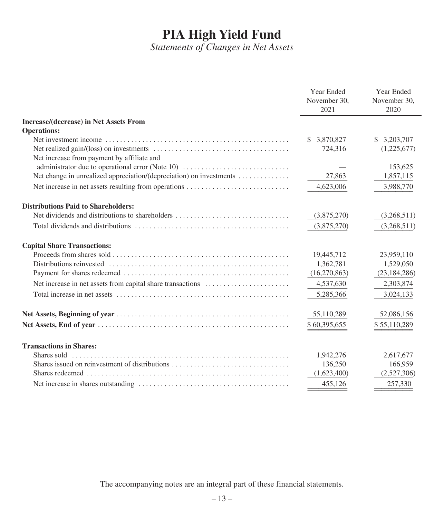*Statements of Changes in Net Assets*

|                                                                     | Year Ended<br>November 30,<br>2021 | Year Ended<br>November 30,<br>2020 |
|---------------------------------------------------------------------|------------------------------------|------------------------------------|
| <b>Increase/(decrease)</b> in Net Assets From                       |                                    |                                    |
| <b>Operations:</b>                                                  |                                    |                                    |
|                                                                     | 3,870,827<br>S.                    | \$3,203,707                        |
| Net increase from payment by affiliate and                          | 724,316                            | (1,225,677)                        |
| administrator due to operational error (Note 10)                    |                                    | 153,625                            |
| Net change in unrealized appreciation/(depreciation) on investments | 27,863                             | 1,857,115                          |
| Net increase in net assets resulting from operations                | 4,623,006                          | 3,988,770                          |
| <b>Distributions Paid to Shareholders:</b>                          |                                    |                                    |
| Net dividends and distributions to shareholders                     | (3,875,270)                        | (3,268,511)                        |
|                                                                     | (3,875,270)                        | (3,268,511)                        |
| <b>Capital Share Transactions:</b>                                  |                                    |                                    |
|                                                                     | 19,445,712                         | 23,959,110                         |
|                                                                     | 1,362,781                          | 1,529,050                          |
|                                                                     | (16,270,863)                       | (23, 184, 286)                     |
| Net increase in net assets from capital share transactions          | 4,537,630                          | 2,303,874                          |
|                                                                     | 5,285,366                          | 3,024,133                          |
|                                                                     | 55,110,289                         | 52,086,156                         |
|                                                                     | \$60,395,655                       | \$55,110,289                       |
| <b>Transactions in Shares:</b>                                      |                                    |                                    |
|                                                                     | 1,942,276                          | 2,617,677                          |
| Shares issued on reinvestment of distributions                      | 136,250                            | 166,959                            |
|                                                                     | (1,623,400)                        | (2,527,306)                        |
|                                                                     | 455,126                            | 257,330                            |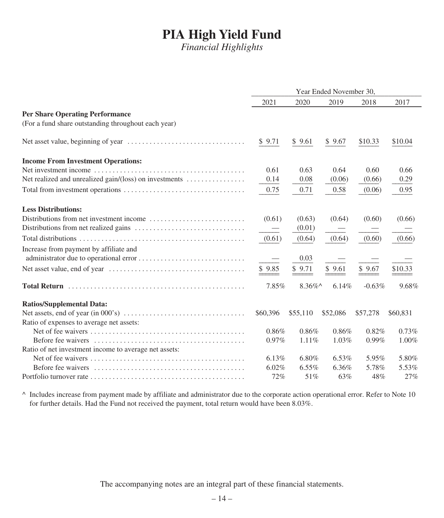*Financial Highlights*

|                                                                                               | Year Ended November 30, |            |          |           |          |
|-----------------------------------------------------------------------------------------------|-------------------------|------------|----------|-----------|----------|
|                                                                                               | 2021                    | 2020       | 2019     | 2018      | 2017     |
| <b>Per Share Operating Performance</b><br>(For a fund share outstanding throughout each year) |                         |            |          |           |          |
|                                                                                               | \$9.71                  | \$9.61     | \$9.67   | \$10.33   | \$10.04  |
| <b>Income From Investment Operations:</b>                                                     |                         |            |          |           |          |
|                                                                                               | 0.61                    | 0.63       | 0.64     | 0.60      | 0.66     |
| Net realized and unrealized gain/(loss) on investments                                        | 0.14                    | 0.08       | (0.06)   | (0.66)    | 0.29     |
|                                                                                               | 0.75                    | 0.71       | 0.58     | (0.06)    | 0.95     |
| <b>Less Distributions:</b>                                                                    |                         |            |          |           |          |
|                                                                                               | (0.61)                  | (0.63)     | (0.64)   | (0.60)    | (0.66)   |
|                                                                                               |                         | (0.01)     |          |           |          |
|                                                                                               | (0.61)                  | (0.64)     | (0.64)   | (0.60)    | (0.66)   |
| Increase from payment by affiliate and                                                        |                         |            |          |           |          |
|                                                                                               |                         | 0.03       |          |           |          |
|                                                                                               | \$9.85                  | \$9.71     | \$9.61   | \$9.67    | \$10.33  |
|                                                                                               | 7.85%                   | $8.36\%$ ^ | 6.14%    | $-0.63\%$ | 9.68%    |
| <b>Ratios/Supplemental Data:</b>                                                              |                         |            |          |           |          |
|                                                                                               | \$60,396                | \$55,110   | \$52,086 | \$57,278  | \$60,831 |
| Ratio of expenses to average net assets:                                                      |                         |            |          |           |          |
|                                                                                               | 0.86%                   | 0.86%      | 0.86%    | 0.82%     | 0.73%    |
|                                                                                               | 0.97%                   | 1.11%      | 1.03%    | $0.99\%$  | 1.00%    |
| Ratio of net investment income to average net assets:                                         |                         |            |          |           |          |
|                                                                                               | 6.13%                   | 6.80%      | 6.53%    | 5.95%     | 5.80%    |
|                                                                                               | 6.02%                   | 6.55%      | 6.36%    | 5.78%     | 5.53%    |
|                                                                                               | 72%                     | 51%        | 63%      | 48%       | 27%      |

^ Includes increase from payment made by affiliate and administrator due to the corporate action operational error. Refer to Note 10 for further details. Had the Fund not received the payment, total return would have been 8.03%.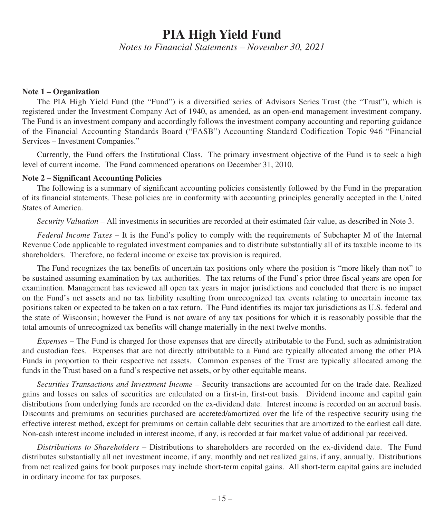*Notes to Financial Statements – November 30, 2021*

#### **Note 1 – Organization**

The PIA High Yield Fund (the "Fund") is a diversified series of Advisors Series Trust (the "Trust"), which is registered under the Investment Company Act of 1940, as amended, as an open-end management investment company. The Fund is an investment company and accordingly follows the investment company accounting and reporting guidance of the Financial Accounting Standards Board ("FASB") Accounting Standard Codification Topic 946 "Financial Services – Investment Companies."

Currently, the Fund offers the Institutional Class. The primary investment objective of the Fund is to seek a high level of current income. The Fund commenced operations on December 31, 2010.

#### **Note 2 – Significant Accounting Policies**

The following is a summary of significant accounting policies consistently followed by the Fund in the preparation of its financial statements. These policies are in conformity with accounting principles generally accepted in the United States of America.

*Security Valuation* – All investments in securities are recorded at their estimated fair value, as described in Note 3.

*Federal Income Taxes* – It is the Fund's policy to comply with the requirements of Subchapter M of the Internal Revenue Code applicable to regulated investment companies and to distribute substantially all of its taxable income to its shareholders. Therefore, no federal income or excise tax provision is required.

The Fund recognizes the tax benefits of uncertain tax positions only where the position is "more likely than not" to be sustained assuming examination by tax authorities. The tax returns of the Fund's prior three fiscal years are open for examination. Management has reviewed all open tax years in major jurisdictions and concluded that there is no impact on the Fund's net assets and no tax liability resulting from unrecognized tax events relating to uncertain income tax positions taken or expected to be taken on a tax return. The Fund identifies its major tax jurisdictions as U.S. federal and the state of Wisconsin; however the Fund is not aware of any tax positions for which it is reasonably possible that the total amounts of unrecognized tax benefits will change materially in the next twelve months.

*Expenses* – The Fund is charged for those expenses that are directly attributable to the Fund, such as administration and custodian fees. Expenses that are not directly attributable to a Fund are typically allocated among the other PIA Funds in proportion to their respective net assets. Common expenses of the Trust are typically allocated among the funds in the Trust based on a fund's respective net assets, or by other equitable means.

*Securities Transactions and Investment Income* – Security transactions are accounted for on the trade date. Realized gains and losses on sales of securities are calculated on a first-in, first-out basis. Dividend income and capital gain distributions from underlying funds are recorded on the ex-dividend date. Interest income is recorded on an accrual basis. Discounts and premiums on securities purchased are accreted/amortized over the life of the respective security using the effective interest method, except for premiums on certain callable debt securities that are amortized to the earliest call date. Non-cash interest income included in interest income, if any, is recorded at fair market value of additional par received.

*Distributions to Shareholders* – Distributions to shareholders are recorded on the ex-dividend date. The Fund distributes substantially all net investment income, if any, monthly and net realized gains, if any, annually. Distributions from net realized gains for book purposes may include short-term capital gains. All short-term capital gains are included in ordinary income for tax purposes.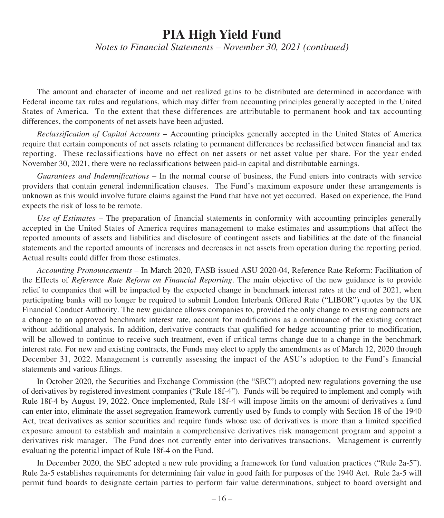*Notes to Financial Statements – November 30, 2021 (continued)*

The amount and character of income and net realized gains to be distributed are determined in accordance with Federal income tax rules and regulations, which may differ from accounting principles generally accepted in the United States of America. To the extent that these differences are attributable to permanent book and tax accounting differences, the components of net assets have been adjusted.

*Reclassification of Capital Accounts* – Accounting principles generally accepted in the United States of America require that certain components of net assets relating to permanent differences be reclassified between financial and tax reporting. These reclassifications have no effect on net assets or net asset value per share. For the year ended November 30, 2021, there were no reclassifications between paid-in capital and distributable earnings.

*Guarantees and Indemnifications* – In the normal course of business, the Fund enters into contracts with service providers that contain general indemnification clauses. The Fund's maximum exposure under these arrangements is unknown as this would involve future claims against the Fund that have not yet occurred. Based on experience, the Fund expects the risk of loss to be remote.

*Use of Estimates* – The preparation of financial statements in conformity with accounting principles generally accepted in the United States of America requires management to make estimates and assumptions that affect the reported amounts of assets and liabilities and disclosure of contingent assets and liabilities at the date of the financial statements and the reported amounts of increases and decreases in net assets from operation during the reporting period. Actual results could differ from those estimates.

*Accounting Pronouncements* – In March 2020, FASB issued ASU 2020-04, Reference Rate Reform: Facilitation of the Effects of *Reference Rate Reform on Financial Reporting*. The main objective of the new guidance is to provide relief to companies that will be impacted by the expected change in benchmark interest rates at the end of 2021, when participating banks will no longer be required to submit London Interbank Offered Rate ("LIBOR") quotes by the UK Financial Conduct Authority. The new guidance allows companies to, provided the only change to existing contracts are a change to an approved benchmark interest rate, account for modifications as a continuance of the existing contract without additional analysis. In addition, derivative contracts that qualified for hedge accounting prior to modification, will be allowed to continue to receive such treatment, even if critical terms change due to a change in the benchmark interest rate. For new and existing contracts, the Funds may elect to apply the amendments as of March 12, 2020 through December 31, 2022. Management is currently assessing the impact of the ASU's adoption to the Fund's financial statements and various filings.

In October 2020, the Securities and Exchange Commission (the "SEC") adopted new regulations governing the use of derivatives by registered investment companies ("Rule 18f-4"). Funds will be required to implement and comply with Rule 18f-4 by August 19, 2022. Once implemented, Rule 18f-4 will impose limits on the amount of derivatives a fund can enter into, eliminate the asset segregation framework currently used by funds to comply with Section 18 of the 1940 Act, treat derivatives as senior securities and require funds whose use of derivatives is more than a limited specified exposure amount to establish and maintain a comprehensive derivatives risk management program and appoint a derivatives risk manager. The Fund does not currently enter into derivatives transactions. Management is currently evaluating the potential impact of Rule 18f-4 on the Fund.

In December 2020, the SEC adopted a new rule providing a framework for fund valuation practices ("Rule 2a-5"). Rule 2a-5 establishes requirements for determining fair value in good faith for purposes of the 1940 Act. Rule 2a-5 will permit fund boards to designate certain parties to perform fair value determinations, subject to board oversight and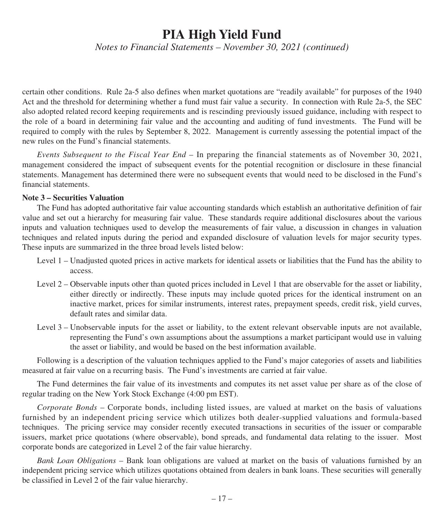*Notes to Financial Statements – November 30, 2021 (continued)*

certain other conditions. Rule 2a-5 also defines when market quotations are "readily available" for purposes of the 1940 Act and the threshold for determining whether a fund must fair value a security. In connection with Rule 2a-5, the SEC also adopted related record keeping requirements and is rescinding previously issued guidance, including with respect to the role of a board in determining fair value and the accounting and auditing of fund investments. The Fund will be required to comply with the rules by September 8, 2022. Management is currently assessing the potential impact of the new rules on the Fund's financial statements.

*Events Subsequent to the Fiscal Year End* – In preparing the financial statements as of November 30, 2021, management considered the impact of subsequent events for the potential recognition or disclosure in these financial statements. Management has determined there were no subsequent events that would need to be disclosed in the Fund's financial statements.

#### **Note 3 – Securities Valuation**

The Fund has adopted authoritative fair value accounting standards which establish an authoritative definition of fair value and set out a hierarchy for measuring fair value. These standards require additional disclosures about the various inputs and valuation techniques used to develop the measurements of fair value, a discussion in changes in valuation techniques and related inputs during the period and expanded disclosure of valuation levels for major security types. These inputs are summarized in the three broad levels listed below:

- Level 1 Unadjusted quoted prices in active markets for identical assets or liabilities that the Fund has the ability to access.
- Level 2 Observable inputs other than quoted prices included in Level 1 that are observable for the asset or liability, either directly or indirectly. These inputs may include quoted prices for the identical instrument on an inactive market, prices for similar instruments, interest rates, prepayment speeds, credit risk, yield curves, default rates and similar data.
- Level 3 Unobservable inputs for the asset or liability, to the extent relevant observable inputs are not available, representing the Fund's own assumptions about the assumptions a market participant would use in valuing the asset or liability, and would be based on the best information available.

Following is a description of the valuation techniques applied to the Fund's major categories of assets and liabilities measured at fair value on a recurring basis. The Fund's investments are carried at fair value.

The Fund determines the fair value of its investments and computes its net asset value per share as of the close of regular trading on the New York Stock Exchange (4:00 pm EST).

*Corporate Bonds* – Corporate bonds, including listed issues, are valued at market on the basis of valuations furnished by an independent pricing service which utilizes both dealer-supplied valuations and formula-based techniques. The pricing service may consider recently executed transactions in securities of the issuer or comparable issuers, market price quotations (where observable), bond spreads, and fundamental data relating to the issuer. Most corporate bonds are categorized in Level 2 of the fair value hierarchy.

*Bank Loan Obligations* – Bank loan obligations are valued at market on the basis of valuations furnished by an independent pricing service which utilizes quotations obtained from dealers in bank loans. These securities will generally be classified in Level 2 of the fair value hierarchy.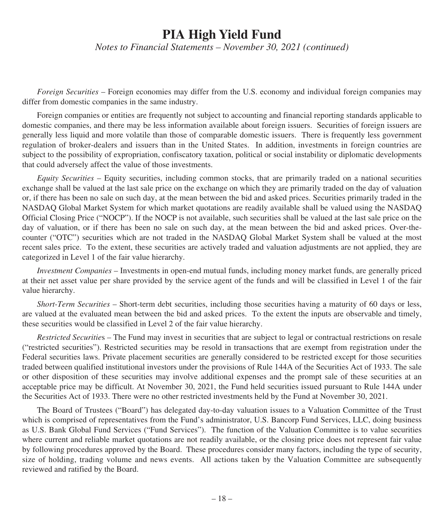*Notes to Financial Statements – November 30, 2021 (continued)*

*Foreign Securities* – Foreign economies may differ from the U.S. economy and individual foreign companies may differ from domestic companies in the same industry.

Foreign companies or entities are frequently not subject to accounting and financial reporting standards applicable to domestic companies, and there may be less information available about foreign issuers. Securities of foreign issuers are generally less liquid and more volatile than those of comparable domestic issuers. There is frequently less government regulation of broker-dealers and issuers than in the United States. In addition, investments in foreign countries are subject to the possibility of expropriation, confiscatory taxation, political or social instability or diplomatic developments that could adversely affect the value of those investments.

*Equity Securities* – Equity securities, including common stocks, that are primarily traded on a national securities exchange shall be valued at the last sale price on the exchange on which they are primarily traded on the day of valuation or, if there has been no sale on such day, at the mean between the bid and asked prices. Securities primarily traded in the NASDAQ Global Market System for which market quotations are readily available shall be valued using the NASDAQ Official Closing Price ("NOCP"). If the NOCP is not available, such securities shall be valued at the last sale price on the day of valuation, or if there has been no sale on such day, at the mean between the bid and asked prices. Over-thecounter ("OTC") securities which are not traded in the NASDAQ Global Market System shall be valued at the most recent sales price. To the extent, these securities are actively traded and valuation adjustments are not applied, they are categorized in Level 1 of the fair value hierarchy.

*Investment Companies* – Investments in open-end mutual funds, including money market funds, are generally priced at their net asset value per share provided by the service agent of the funds and will be classified in Level 1 of the fair value hierarchy.

*Short-Term Securities* – Short-term debt securities, including those securities having a maturity of 60 days or less, are valued at the evaluated mean between the bid and asked prices. To the extent the inputs are observable and timely, these securities would be classified in Level 2 of the fair value hierarchy.

*Restricted Securitie*s – The Fund may invest in securities that are subject to legal or contractual restrictions on resale ("restricted securities"). Restricted securities may be resold in transactions that are exempt from registration under the Federal securities laws. Private placement securities are generally considered to be restricted except for those securities traded between qualified institutional investors under the provisions of Rule 144A of the Securities Act of 1933. The sale or other disposition of these securities may involve additional expenses and the prompt sale of these securities at an acceptable price may be difficult. At November 30, 2021, the Fund held securities issued pursuant to Rule 144A under the Securities Act of 1933. There were no other restricted investments held by the Fund at November 30, 2021.

The Board of Trustees ("Board") has delegated day-to-day valuation issues to a Valuation Committee of the Trust which is comprised of representatives from the Fund's administrator, U.S. Bancorp Fund Services, LLC, doing business as U.S. Bank Global Fund Services ("Fund Services"). The function of the Valuation Committee is to value securities where current and reliable market quotations are not readily available, or the closing price does not represent fair value by following procedures approved by the Board. These procedures consider many factors, including the type of security, size of holding, trading volume and news events. All actions taken by the Valuation Committee are subsequently reviewed and ratified by the Board.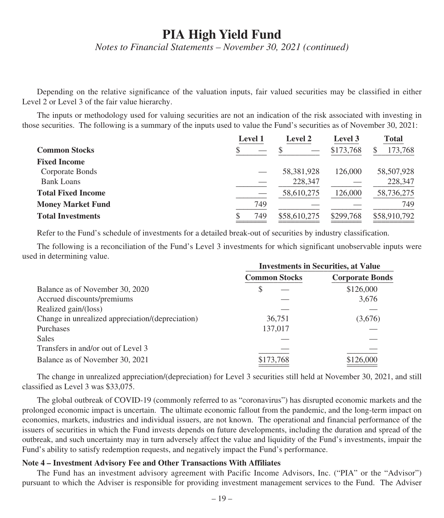*Notes to Financial Statements – November 30, 2021 (continued)*

Depending on the relative significance of the valuation inputs, fair valued securities may be classified in either Level 2 or Level 3 of the fair value hierarchy.

The inputs or methodology used for valuing securities are not an indication of the risk associated with investing in those securities. The following is a summary of the inputs used to value the Fund's securities as of November 30, 2021:

|                           | <b>Level 1</b> | <b>Level 2</b> | Level 3   | <b>Total</b> |
|---------------------------|----------------|----------------|-----------|--------------|
| <b>Common Stocks</b>      |                |                | \$173,768 | 173,768      |
| <b>Fixed Income</b>       |                |                |           |              |
| Corporate Bonds           |                | 58, 381, 928   | 126,000   | 58,507,928   |
| <b>Bank Loans</b>         |                | 228,347        |           | 228,347      |
| <b>Total Fixed Income</b> |                | 58,610,275     | 126,000   | 58,736,275   |
| <b>Money Market Fund</b>  | 749            |                |           | 749          |
| <b>Total Investments</b>  | 749            | \$58,610,275   | \$299,768 | \$58,910,792 |
|                           |                |                |           |              |

Refer to the Fund's schedule of investments for a detailed break-out of securities by industry classification.

The following is a reconciliation of the Fund's Level 3 investments for which significant unobservable inputs were used in determining value.

|                                                  | <b>Investments in Securities, at Value</b> |                        |  |
|--------------------------------------------------|--------------------------------------------|------------------------|--|
|                                                  | <b>Common Stocks</b>                       | <b>Corporate Bonds</b> |  |
| Balance as of November 30, 2020                  | S                                          | \$126,000              |  |
| Accrued discounts/premiums                       |                                            | 3,676                  |  |
| Realized gain/(loss)                             |                                            |                        |  |
| Change in unrealized appreciation/(depreciation) | 36,751                                     | (3,676)                |  |
| Purchases                                        | 137,017                                    |                        |  |
| <b>Sales</b>                                     |                                            |                        |  |
| Transfers in and/or out of Level 3               |                                            |                        |  |
| Balance as of November 30, 2021                  | \$173,768                                  | \$126,000              |  |

The change in unrealized appreciation/(depreciation) for Level 3 securities still held at November 30, 2021, and still classified as Level 3 was \$33,075.

The global outbreak of COVID-19 (commonly referred to as "coronavirus") has disrupted economic markets and the prolonged economic impact is uncertain. The ultimate economic fallout from the pandemic, and the long-term impact on economies, markets, industries and individual issuers, are not known. The operational and financial performance of the issuers of securities in which the Fund invests depends on future developments, including the duration and spread of the outbreak, and such uncertainty may in turn adversely affect the value and liquidity of the Fund's investments, impair the Fund's ability to satisfy redemption requests, and negatively impact the Fund's performance.

#### **Note 4 – Investment Advisory Fee and Other Transactions With Affiliates**

The Fund has an investment advisory agreement with Pacific Income Advisors, Inc. ("PIA" or the "Advisor") pursuant to which the Adviser is responsible for providing investment management services to the Fund. The Adviser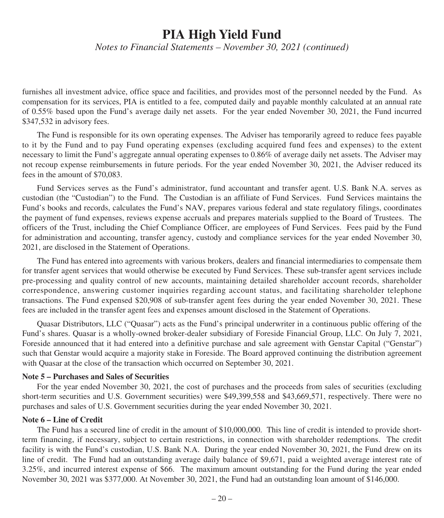*Notes to Financial Statements – November 30, 2021 (continued)*

furnishes all investment advice, office space and facilities, and provides most of the personnel needed by the Fund. As compensation for its services, PIA is entitled to a fee, computed daily and payable monthly calculated at an annual rate of 0.55% based upon the Fund's average daily net assets. For the year ended November 30, 2021, the Fund incurred \$347,532 in advisory fees.

The Fund is responsible for its own operating expenses. The Adviser has temporarily agreed to reduce fees payable to it by the Fund and to pay Fund operating expenses (excluding acquired fund fees and expenses) to the extent necessary to limit the Fund's aggregate annual operating expenses to 0.86% of average daily net assets. The Adviser may not recoup expense reimbursements in future periods. For the year ended November 30, 2021, the Adviser reduced its fees in the amount of \$70,083.

Fund Services serves as the Fund's administrator, fund accountant and transfer agent. U.S. Bank N.A. serves as custodian (the "Custodian") to the Fund. The Custodian is an affiliate of Fund Services. Fund Services maintains the Fund's books and records, calculates the Fund's NAV, prepares various federal and state regulatory filings, coordinates the payment of fund expenses, reviews expense accruals and prepares materials supplied to the Board of Trustees. The officers of the Trust, including the Chief Compliance Officer, are employees of Fund Services. Fees paid by the Fund for administration and accounting, transfer agency, custody and compliance services for the year ended November 30, 2021, are disclosed in the Statement of Operations.

The Fund has entered into agreements with various brokers, dealers and financial intermediaries to compensate them for transfer agent services that would otherwise be executed by Fund Services. These sub-transfer agent services include pre-processing and quality control of new accounts, maintaining detailed shareholder account records, shareholder correspondence, answering customer inquiries regarding account status, and facilitating shareholder telephone transactions. The Fund expensed \$20,908 of sub-transfer agent fees during the year ended November 30, 2021. These fees are included in the transfer agent fees and expenses amount disclosed in the Statement of Operations.

Quasar Distributors, LLC ("Quasar") acts as the Fund's principal underwriter in a continuous public offering of the Fund's shares. Quasar is a wholly-owned broker-dealer subsidiary of Foreside Financial Group, LLC. On July 7, 2021, Foreside announced that it had entered into a definitive purchase and sale agreement with Genstar Capital ("Genstar") such that Genstar would acquire a majority stake in Foreside. The Board approved continuing the distribution agreement with Quasar at the close of the transaction which occurred on September 30, 2021.

#### **Note 5 – Purchases and Sales of Securities**

For the year ended November 30, 2021, the cost of purchases and the proceeds from sales of securities (excluding short-term securities and U.S. Government securities) were \$49,399,558 and \$43,669,571, respectively. There were no purchases and sales of U.S. Government securities during the year ended November 30, 2021.

#### **Note 6 – Line of Credit**

The Fund has a secured line of credit in the amount of \$10,000,000. This line of credit is intended to provide shortterm financing, if necessary, subject to certain restrictions, in connection with shareholder redemptions. The credit facility is with the Fund's custodian, U.S. Bank N.A. During the year ended November 30, 2021, the Fund drew on its line of credit. The Fund had an outstanding average daily balance of \$9,671, paid a weighted average interest rate of 3.25%, and incurred interest expense of \$66. The maximum amount outstanding for the Fund during the year ended November 30, 2021 was \$377,000. At November 30, 2021, the Fund had an outstanding loan amount of \$146,000.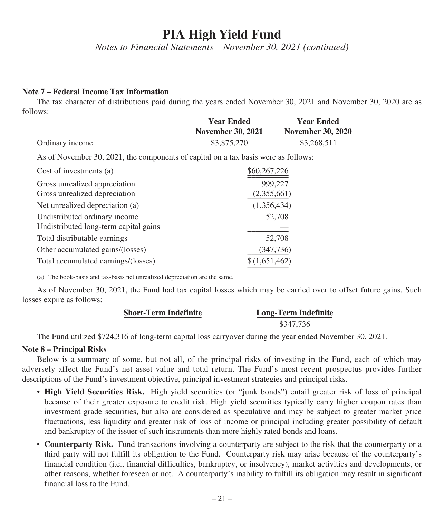*Notes to Financial Statements – November 30, 2021 (continued)*

#### **Note 7 – Federal Income Tax Information**

The tax character of distributions paid during the years ended November 30, 2021 and November 30, 2020 are as follows:

|                 | <b>Year Ended</b>        | <b>Year Ended</b>        |  |
|-----------------|--------------------------|--------------------------|--|
|                 | <b>November 30, 2021</b> | <b>November 30, 2020</b> |  |
| Ordinary income | \$3,875,270              | \$3,268,511              |  |

As of November 30, 2021, the components of capital on a tax basis were as follows:

| Cost of investments (a)               | \$60,267,226  |
|---------------------------------------|---------------|
| Gross unrealized appreciation         | 999,227       |
| Gross unrealized depreciation         | (2,355,661)   |
| Net unrealized depreciation (a)       | (1,356,434)   |
| Undistributed ordinary income         | 52,708        |
| Undistributed long-term capital gains |               |
| Total distributable earnings          | 52,708        |
| Other accumulated gains/(losses)      | (347,736)     |
| Total accumulated earnings/(losses)   | \$(1,651,462) |
|                                       |               |

(a) The book-basis and tax-basis net unrealized depreciation are the same.

As of November 30, 2021, the Fund had tax capital losses which may be carried over to offset future gains. Such losses expire as follows:

| <b>Short-Term Indefinite</b> | <b>Long-Term Indefinite</b> |  |  |
|------------------------------|-----------------------------|--|--|
|                              | \$347.736                   |  |  |

The Fund utilized \$724,316 of long-term capital loss carryover during the year ended November 30, 2021.

#### **Note 8 – Principal Risks**

Below is a summary of some, but not all, of the principal risks of investing in the Fund, each of which may adversely affect the Fund's net asset value and total return. The Fund's most recent prospectus provides further descriptions of the Fund's investment objective, principal investment strategies and principal risks.

- **High Yield Securities Risk.** High yield securities (or "junk bonds") entail greater risk of loss of principal because of their greater exposure to credit risk. High yield securities typically carry higher coupon rates than investment grade securities, but also are considered as speculative and may be subject to greater market price fluctuations, less liquidity and greater risk of loss of income or principal including greater possibility of default and bankruptcy of the issuer of such instruments than more highly rated bonds and loans.
- **Counterparty Risk.** Fund transactions involving a counterparty are subject to the risk that the counterparty or a third party will not fulfill its obligation to the Fund. Counterparty risk may arise because of the counterparty's financial condition (i.e., financial difficulties, bankruptcy, or insolvency), market activities and developments, or other reasons, whether foreseen or not. A counterparty's inability to fulfill its obligation may result in significant financial loss to the Fund.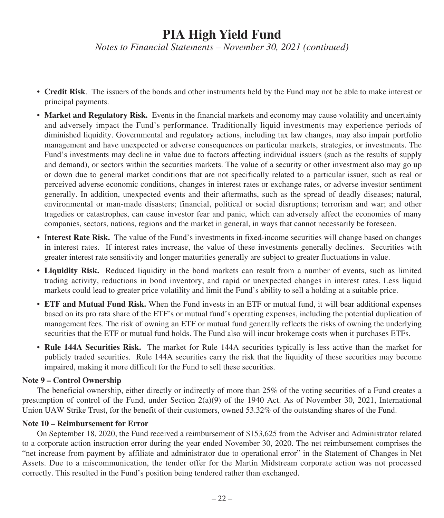*Notes to Financial Statements – November 30, 2021 (continued)*

- **Credit Risk**. The issuers of the bonds and other instruments held by the Fund may not be able to make interest or principal payments.
- **Market and Regulatory Risk.** Events in the financial markets and economy may cause volatility and uncertainty and adversely impact the Fund's performance. Traditionally liquid investments may experience periods of diminished liquidity. Governmental and regulatory actions, including tax law changes, may also impair portfolio management and have unexpected or adverse consequences on particular markets, strategies, or investments. The Fund's investments may decline in value due to factors affecting individual issuers (such as the results of supply and demand), or sectors within the securities markets. The value of a security or other investment also may go up or down due to general market conditions that are not specifically related to a particular issuer, such as real or perceived adverse economic conditions, changes in interest rates or exchange rates, or adverse investor sentiment generally. In addition, unexpected events and their aftermaths, such as the spread of deadly diseases; natural, environmental or man-made disasters; financial, political or social disruptions; terrorism and war; and other tragedies or catastrophes, can cause investor fear and panic, which can adversely affect the economies of many companies, sectors, nations, regions and the market in general, in ways that cannot necessarily be foreseen.
- I**nterest Rate Risk.** The value of the Fund's investments in fixed-income securities will change based on changes in interest rates. If interest rates increase, the value of these investments generally declines. Securities with greater interest rate sensitivity and longer maturities generally are subject to greater fluctuations in value.
- **Liquidity Risk.** Reduced liquidity in the bond markets can result from a number of events, such as limited trading activity, reductions in bond inventory, and rapid or unexpected changes in interest rates. Less liquid markets could lead to greater price volatility and limit the Fund's ability to sell a holding at a suitable price.
- **ETF and Mutual Fund Risk.** When the Fund invests in an ETF or mutual fund, it will bear additional expenses based on its pro rata share of the ETF's or mutual fund's operating expenses, including the potential duplication of management fees. The risk of owning an ETF or mutual fund generally reflects the risks of owning the underlying securities that the ETF or mutual fund holds. The Fund also will incur brokerage costs when it purchases ETFs.
- **Rule 144A Securities Risk.** The market for Rule 144A securities typically is less active than the market for publicly traded securities. Rule 144A securities carry the risk that the liquidity of these securities may become impaired, making it more difficult for the Fund to sell these securities.

#### **Note 9 – Control Ownership**

The beneficial ownership, either directly or indirectly of more than 25% of the voting securities of a Fund creates a presumption of control of the Fund, under Section 2(a)(9) of the 1940 Act. As of November 30, 2021, International Union UAW Strike Trust, for the benefit of their customers, owned 53.32% of the outstanding shares of the Fund.

#### **Note 10 – Reimbursement for Error**

On September 18, 2020, the Fund received a reimbursement of \$153,625 from the Adviser and Administrator related to a corporate action instruction error during the year ended November 30, 2020. The net reimbursement comprises the "net increase from payment by affiliate and administrator due to operational error" in the Statement of Changes in Net Assets. Due to a miscommunication, the tender offer for the Martin Midstream corporate action was not processed correctly. This resulted in the Fund's position being tendered rather than exchanged.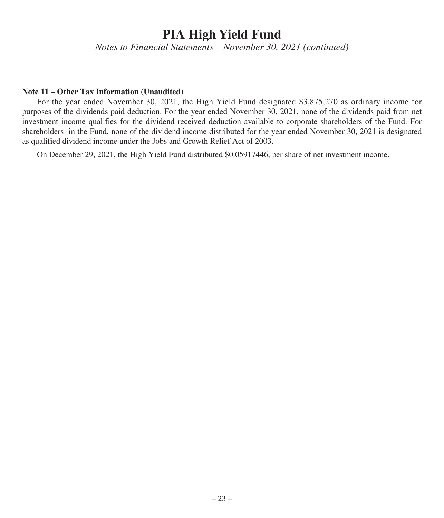*Notes to Financial Statements – November 30, 2021 (continued)*

#### **Note 11 – Other Tax Information (Unaudited)**

For the year ended November 30, 2021, the High Yield Fund designated \$3,875,270 as ordinary income for purposes of the dividends paid deduction. For the year ended November 30, 2021, none of the dividends paid from net investment income qualifies for the dividend received deduction available to corporate shareholders of the Fund. For shareholders in the Fund, none of the dividend income distributed for the year ended November 30, 2021 is designated as qualified dividend income under the Jobs and Growth Relief Act of 2003.

On December 29, 2021, the High Yield Fund distributed \$0.05917446, per share of net investment income.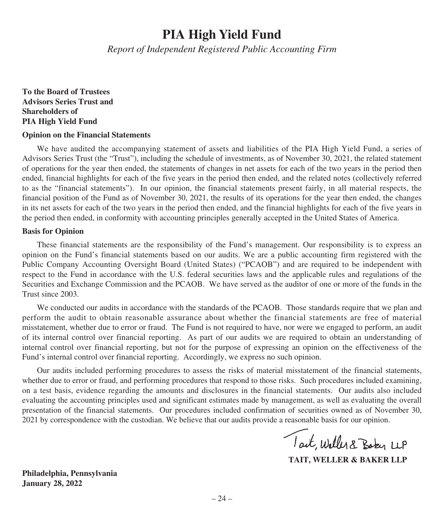*Report of Independent Registered Public Accounting Firm*

**To the Board of Trustees Advisors Series Trust and Shareholders of PIA High Yield Fund**

#### **Opinion on the Financial Statements**

We have audited the accompanying statement of assets and liabilities of the PIA High Yield Fund, a series of Advisors Series Trust (the "Trust"), including the schedule of investments, as of November 30, 2021, the related statement of operations for the year then ended, the statements of changes in net assets for each of the two years in the period then ended, financial highlights for each of the five years in the period then ended, and the related notes (collectively referred to as the "financial statements"). In our opinion, the financial statements present fairly, in all material respects, the financial position of the Fund as of November 30, 2021, the results of its operations for the year then ended, the changes in its net assets for each of the two years in the period then ended, and the financial highlights for each of the five years in the period then ended, in conformity with accounting principles generally accepted in the United States of America.

#### **Basis for Opinion**

These financial statements are the responsibility of the Fund's management. Our responsibility is to express an opinion on the Fund's financial statements based on our audits. We are a public accounting firm registered with the Public Company Accounting Oversight Board (United States) ("PCAOB") and are required to be independent with respect to the Fund in accordance with the U.S. federal securities laws and the applicable rules and regulations of the Securities and Exchange Commission and the PCAOB. We have served as the auditor of one or more of the funds in the Trust since 2003.

We conducted our audits in accordance with the standards of the PCAOB. Those standards require that we plan and perform the audit to obtain reasonable assurance about whether the financial statements are free of material misstatement, whether due to error or fraud. The Fund is not required to have, nor were we engaged to perform, an audit of its internal control over financial reporting. As part of our audits we are required to obtain an understanding of internal control over financial reporting, but not for the purpose of expressing an opinion on the effectiveness of the Fund's internal control over financial reporting. Accordingly, we express no such opinion.

Our audits included performing procedures to assess the risks of material misstatement of the financial statements, whether due to error or fraud, and performing procedures that respond to those risks. Such procedures included examining, on a test basis, evidence regarding the amounts and disclosures in the financial statements. Our audits also included evaluating the accounting principles used and significant estimates made by management, as well as evaluating the overall presentation of the financial statements. Our procedures included confirmation of securities owned as of November 30, 2021 by correspondence with the custodian. We believe that our audits provide a reasonable basis for our opinion.

Tait, Weller & Baker LLP

**TAIT, WELLER & BAKER LLP**

**Philadelphia, Pennsylvania January 28, 2022**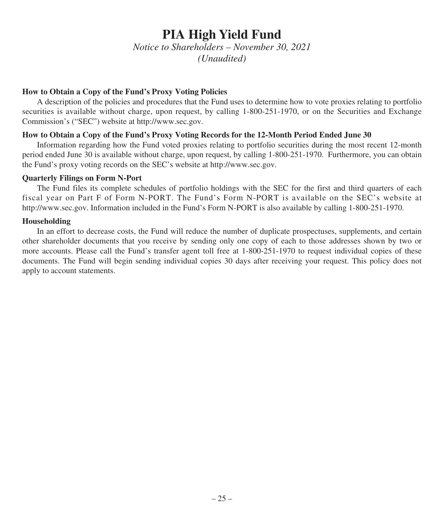*Notice to Shareholders – November 30, 2021 (Unaudited)*

#### **How to Obtain a Copy of the Fund's Proxy Voting Policies**

A description of the policies and procedures that the Fund uses to determine how to vote proxies relating to portfolio securities is available without charge, upon request, by calling 1-800-251-1970, or on the Securities and Exchange Commission's ("SEC") website at http://www.sec.gov.

#### **How to Obtain a Copy of the Fund's Proxy Voting Records for the 12-Month Period Ended June 30**

Information regarding how the Fund voted proxies relating to portfolio securities during the most recent 12-month period ended June 30 is available without charge, upon request, by calling 1-800-251-1970. Furthermore, you can obtain the Fund's proxy voting records on the SEC's website at http://www.sec.gov.

#### **Quarterly Filings on Form N-Port**

The Fund files its complete schedules of portfolio holdings with the SEC for the first and third quarters of each fiscal year on Part F of Form N-PORT. The Fund's Form N-PORT is available on the SEC's website at http://www.sec.gov. Information included in the Fund's Form N-PORT is also available by calling 1-800-251-1970.

#### **Householding**

In an effort to decrease costs, the Fund will reduce the number of duplicate prospectuses, supplements, and certain other shareholder documents that you receive by sending only one copy of each to those addresses shown by two or more accounts. Please call the Fund's transfer agent toll free at 1-800-251-1970 to request individual copies of these documents. The Fund will begin sending individual copies 30 days after receiving your request. This policy does not apply to account statements.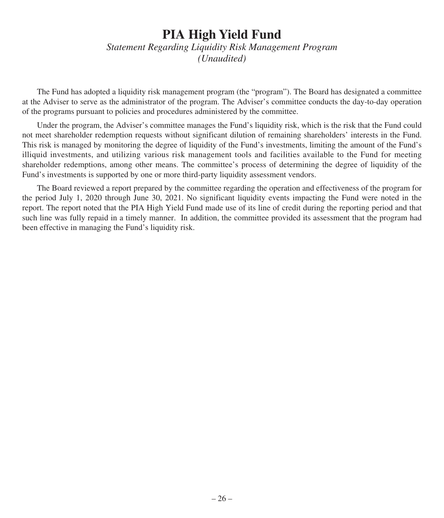*Statement Regarding Liquidity Risk Management Program (Unaudited)*

The Fund has adopted a liquidity risk management program (the "program"). The Board has designated a committee at the Adviser to serve as the administrator of the program. The Adviser's committee conducts the day-to-day operation of the programs pursuant to policies and procedures administered by the committee.

Under the program, the Adviser's committee manages the Fund's liquidity risk, which is the risk that the Fund could not meet shareholder redemption requests without significant dilution of remaining shareholders' interests in the Fund. This risk is managed by monitoring the degree of liquidity of the Fund's investments, limiting the amount of the Fund's illiquid investments, and utilizing various risk management tools and facilities available to the Fund for meeting shareholder redemptions, among other means. The committee's process of determining the degree of liquidity of the Fund's investments is supported by one or more third-party liquidity assessment vendors.

The Board reviewed a report prepared by the committee regarding the operation and effectiveness of the program for the period July 1, 2020 through June 30, 2021. No significant liquidity events impacting the Fund were noted in the report. The report noted that the PIA High Yield Fund made use of its line of credit during the reporting period and that such line was fully repaid in a timely manner. In addition, the committee provided its assessment that the program had been effective in managing the Fund's liquidity risk.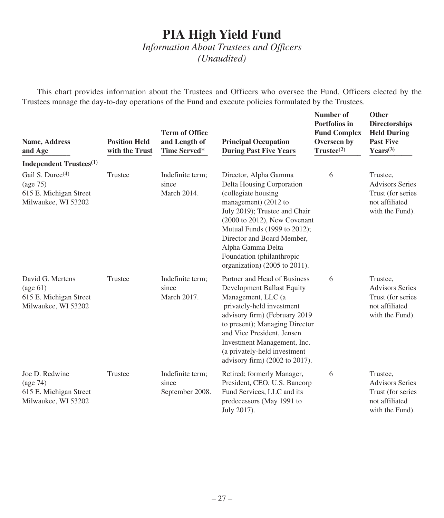*Information About Trustees and Officers (Unaudited)*

This chart provides information about the Trustees and Officers who oversee the Fund. Officers elected by the Trustees manage the day-to-day operations of the Fund and execute policies formulated by the Trustees.

| <b>Name, Address</b><br>and Age                                                  | <b>Position Held</b><br>with the Trust | <b>Term of Office</b><br>and Length of<br>Time Served* | <b>Principal Occupation</b><br><b>During Past Five Years</b>                                                                                                                                                                                                                                                                    | Number of<br><b>Portfolios</b> in<br><b>Fund Complex</b><br>Overseen by<br>$Trustee^{(2)}$ | Other<br><b>Directorships</b><br><b>Held During</b><br><b>Past Five</b><br>$\text{Years}^{(3)}$ |
|----------------------------------------------------------------------------------|----------------------------------------|--------------------------------------------------------|---------------------------------------------------------------------------------------------------------------------------------------------------------------------------------------------------------------------------------------------------------------------------------------------------------------------------------|--------------------------------------------------------------------------------------------|-------------------------------------------------------------------------------------------------|
| $\mathbf{Independent}\; \mathbf{Trustees}^{(1)}$                                 |                                        |                                                        |                                                                                                                                                                                                                                                                                                                                 |                                                                                            |                                                                                                 |
| Gail S. Duree $(4)$<br>(age 75)<br>615 E. Michigan Street<br>Milwaukee, WI 53202 | Trustee                                | Indefinite term;<br>since<br>March 2014.               | Director, Alpha Gamma<br>Delta Housing Corporation<br>(collegiate housing<br>management) (2012 to<br>July 2019); Trustee and Chair<br>$(2000 \text{ to } 2012)$ , New Covenant<br>Mutual Funds (1999 to 2012);<br>Director and Board Member,<br>Alpha Gamma Delta<br>Foundation (philanthropic<br>organization) (2005 to 2011). | 6                                                                                          | Trustee,<br><b>Advisors Series</b><br>Trust (for series<br>not affiliated<br>with the Fund).    |
| David G. Mertens<br>(age 61)<br>615 E. Michigan Street<br>Milwaukee, WI 53202    | Trustee                                | Indefinite term:<br>since<br>March 2017.               | Partner and Head of Business<br>Development Ballast Equity<br>Management, LLC (a<br>privately-held investment<br>advisory firm) (February 2019<br>to present); Managing Director<br>and Vice President, Jensen<br>Investment Management, Inc.<br>(a privately-held investment<br>advisory firm) (2002 to 2017).                 | 6                                                                                          | Trustee.<br><b>Advisors Series</b><br>Trust (for series<br>not affiliated<br>with the Fund).    |
| Joe D. Redwine<br>(age 74)<br>615 E. Michigan Street<br>Milwaukee, WI 53202      | Trustee                                | Indefinite term;<br>since<br>September 2008.           | Retired; formerly Manager,<br>President, CEO, U.S. Bancorp<br>Fund Services, LLC and its<br>predecessors (May 1991 to<br>July 2017).                                                                                                                                                                                            | 6                                                                                          | Trustee,<br><b>Advisors Series</b><br>Trust (for series<br>not affiliated<br>with the Fund).    |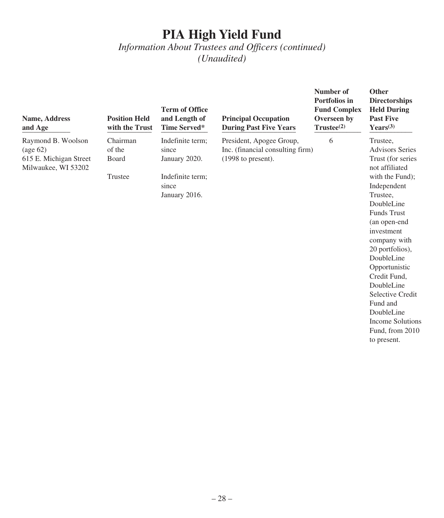*Information About Trustees and Officers (continued) (Unaudited)*

| <b>Name, Address</b><br>and Age               | <b>Position Held</b><br>with the Trust | <b>Term of Office</b><br>and Length of<br>Time Served* | <b>Principal Occupation</b><br><b>During Past Five Years</b> | Number of<br><b>Portfolios</b> in<br><b>Fund Complex</b><br>Overseen by<br>Trustee <sup>(2)</sup> | <b>Other</b><br><b>Directorships</b><br><b>Held During</b><br><b>Past Five</b><br>$\text{Years}^{(3)}$ |
|-----------------------------------------------|----------------------------------------|--------------------------------------------------------|--------------------------------------------------------------|---------------------------------------------------------------------------------------------------|--------------------------------------------------------------------------------------------------------|
| Raymond B. Woolson                            | Chairman                               | Indefinite term;                                       | President, Apogee Group,                                     | 6                                                                                                 | Trustee,                                                                                               |
| $\left(\text{age }62\right)$                  | of the                                 | since                                                  | Inc. (financial consulting firm)                             |                                                                                                   | <b>Advisors Series</b>                                                                                 |
| 615 E. Michigan Street<br>Milwaukee, WI 53202 | Board                                  | January 2020.                                          | $(1998$ to present).                                         | Trust (for series)<br>not affiliated                                                              |                                                                                                        |
|                                               | Trustee                                | Indefinite term;                                       |                                                              |                                                                                                   | with the Fund);                                                                                        |
|                                               |                                        | since                                                  |                                                              |                                                                                                   | Independent                                                                                            |
|                                               |                                        | January 2016.                                          |                                                              |                                                                                                   | Trustee,                                                                                               |
|                                               |                                        |                                                        |                                                              |                                                                                                   | DoubleLine                                                                                             |
|                                               |                                        |                                                        |                                                              |                                                                                                   | <b>Funds Trust</b>                                                                                     |
|                                               |                                        |                                                        |                                                              |                                                                                                   | (an open-end                                                                                           |
|                                               |                                        |                                                        |                                                              |                                                                                                   | investment                                                                                             |

investment company with 20 portfolios), DoubleLine Opportunistic Credit Fund, DoubleLine Selective Credit Fund and DoubleLine Income Solutions Fund, from 2010 to present.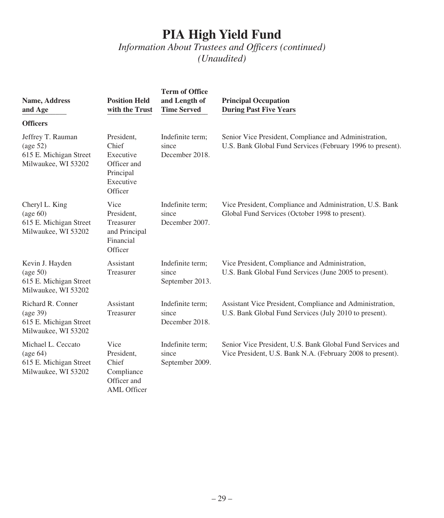*Information About Trustees and Officers (continued) (Unaudited)*

| <b>Name, Address</b><br>and Age                                                                     | <b>Position Held</b><br>with the Trust                                               | <b>Term of Office</b><br>and Length of<br><b>Time Served</b> | <b>Principal Occupation</b><br><b>During Past Five Years</b>                                                            |
|-----------------------------------------------------------------------------------------------------|--------------------------------------------------------------------------------------|--------------------------------------------------------------|-------------------------------------------------------------------------------------------------------------------------|
| <b>Officers</b>                                                                                     |                                                                                      |                                                              |                                                                                                                         |
| Jeffrey T. Rauman<br>$\frac{\text{age } 52)}{}$<br>615 E. Michigan Street<br>Milwaukee, WI 53202    | President,<br>Chief<br>Executive<br>Officer and<br>Principal<br>Executive<br>Officer | Indefinite term;<br>since<br>December 2018.                  | Senior Vice President, Compliance and Administration,<br>U.S. Bank Global Fund Services (February 1996 to present).     |
| Cheryl L. King<br>(age 60)<br>615 E. Michigan Street<br>Milwaukee, WI 53202                         | Vice<br>President,<br>Treasurer<br>and Principal<br>Financial<br>Officer             | Indefinite term:<br>since<br>December 2007.                  | Vice President, Compliance and Administration, U.S. Bank<br>Global Fund Services (October 1998 to present).             |
| Kevin J. Hayden<br>$\left(\text{age } 50\right)$<br>615 E. Michigan Street<br>Milwaukee, WI 53202   | Assistant<br>Treasurer                                                               | Indefinite term:<br>since<br>September 2013.                 | Vice President, Compliance and Administration,<br>U.S. Bank Global Fund Services (June 2005 to present).                |
| Richard R. Conner<br>$\left(\text{age } 39\right)$<br>615 E. Michigan Street<br>Milwaukee, WI 53202 | Assistant<br>Treasurer                                                               | Indefinite term:<br>since<br>December 2018.                  | Assistant Vice President, Compliance and Administration,<br>U.S. Bank Global Fund Services (July 2010 to present).      |
| Michael L. Ceccato<br>$(\text{age } 64)$<br>615 E. Michigan Street<br>Milwaukee, WI 53202           | Vice<br>President,<br>Chief<br>Compliance<br>Officer and<br><b>AML</b> Officer       | Indefinite term:<br>since<br>September 2009.                 | Senior Vice President, U.S. Bank Global Fund Services and<br>Vice President, U.S. Bank N.A. (February 2008 to present). |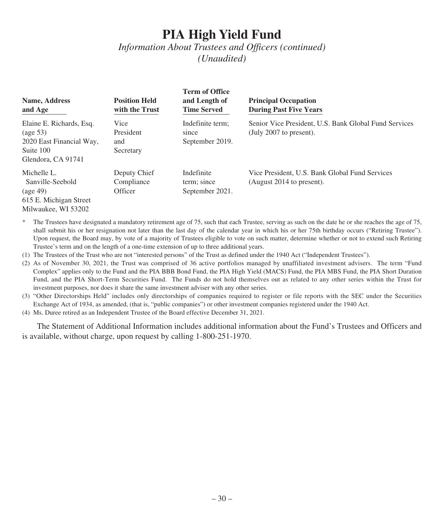*Information About Trustees and Officers (continued) (Unaudited)*

| Name, Address<br>and Age                                                                                                                                                                     | <b>Position Held</b><br>with the Trust | <b>Term of Office</b><br>and Length of<br><b>Time Served</b>                     | <b>Principal Occupation</b><br><b>During Past Five Years</b>                |
|----------------------------------------------------------------------------------------------------------------------------------------------------------------------------------------------|----------------------------------------|----------------------------------------------------------------------------------|-----------------------------------------------------------------------------|
| Vice<br>Elaine E. Richards, Esq.<br>Indefinite term:<br>President<br>(age 53)<br>since<br>September 2019.<br>2020 East Financial Way,<br>and<br>Suite 100<br>Secretary<br>Glendora, CA 91741 |                                        | Senior Vice President, U.S. Bank Global Fund Services<br>(July 2007 to present). |                                                                             |
| Michelle L.<br>Sanville-Seebold<br>(age 49)<br>615 E. Michigan Street<br>Milwaukee, WI 53202                                                                                                 | Deputy Chief<br>Compliance<br>Officer  | Indefinite<br>term: since<br>September 2021.                                     | Vice President, U.S. Bank Global Fund Services<br>(August 2014 to present). |

\* The Trustees have designated a mandatory retirement age of 75, such that each Trustee, serving as such on the date he or she reaches the age of 75, shall submit his or her resignation not later than the last day of the calendar year in which his or her 75th birthday occurs ("Retiring Trustee"). Upon request, the Board may, by vote of a majority of Trustees eligible to vote on such matter, determine whether or not to extend such Retiring Trustee's term and on the length of a one-time extension of up to three additional years.

(1) The Trustees of the Trust who are not "interested persons" of the Trust as defined under the 1940 Act ("Independent Trustees").

(2) As of November 30, 2021, the Trust was comprised of 36 active portfolios managed by unaffiliated investment advisers. The term "Fund Complex" applies only to the Fund and the PIA BBB Bond Fund, the PIA High Yield (MACS) Fund, the PIA MBS Fund, the PIA Short Duration Fund, and the PIA Short-Term Securities Fund. The Funds do not hold themselves out as related to any other series within the Trust for investment purposes, nor does it share the same investment adviser with any other series.

(3) "Other Directorships Held" includes only directorships of companies required to register or file reports with the SEC under the Securities Exchange Act of 1934, as amended, (that is, "public companies") or other investment companies registered under the 1940 Act.

(4) Ms. Duree retired as an Independent Trustee of the Board effective December 31, 2021.

The Statement of Additional Information includes additional information about the Fund's Trustees and Officers and is available, without charge, upon request by calling 1-800-251-1970.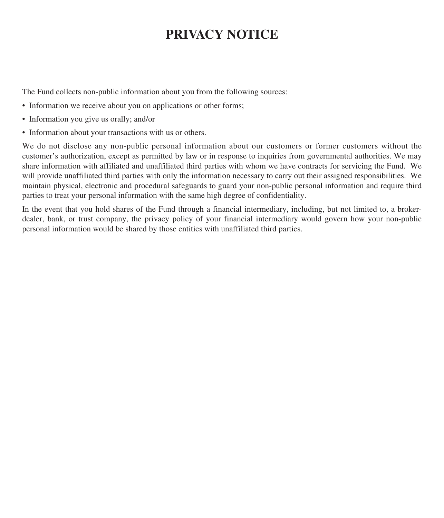# **PRIVACY NOTICE**

The Fund collects non-public information about you from the following sources:

- Information we receive about you on applications or other forms;
- Information you give us orally; and/or
- Information about your transactions with us or others.

We do not disclose any non-public personal information about our customers or former customers without the customer's authorization, except as permitted by law or in response to inquiries from governmental authorities. We may share information with affiliated and unaffiliated third parties with whom we have contracts for servicing the Fund. We will provide unaffiliated third parties with only the information necessary to carry out their assigned responsibilities. We maintain physical, electronic and procedural safeguards to guard your non-public personal information and require third parties to treat your personal information with the same high degree of confidentiality.

In the event that you hold shares of the Fund through a financial intermediary, including, but not limited to, a brokerdealer, bank, or trust company, the privacy policy of your financial intermediary would govern how your non-public personal information would be shared by those entities with unaffiliated third parties.